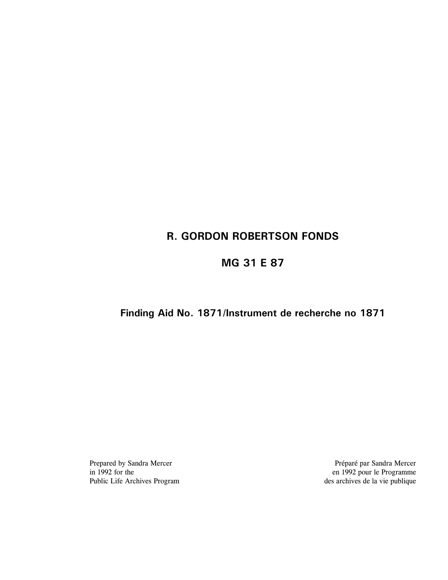# **R. GORDON ROBERTSON FONDS**

# **MG 31 E 87**

# **Finding Aid No. 1871/Instrument de recherche no 1871**

Prepared by Sandra Mercer Préparé par Sandra Mercer in 1992 for the Programme en 1992 pour le Programme in 1992 for the en 1992 pour le Programme<br>
Public Life Archives Program<br>
es archives de la vie publique  $\frac{1}{2}$  des archives de la vie publique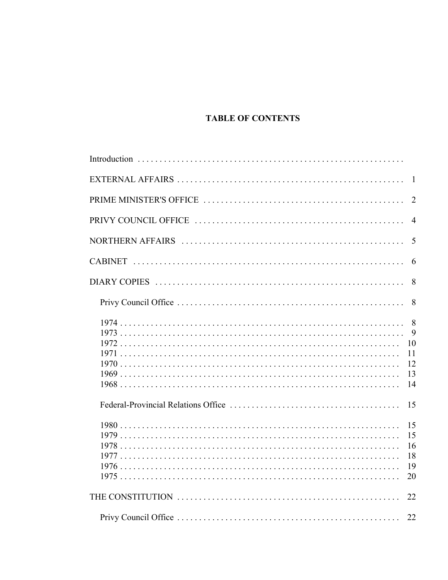# **TABLE OF CONTENTS**

| $\overline{2}$                   |
|----------------------------------|
| $\overline{4}$                   |
| 5                                |
| 6                                |
| 8                                |
| 8                                |
| 9<br>10<br>11<br>12<br>13<br>14  |
| 15                               |
| 15<br>15<br>16<br>18<br>19<br>20 |
| 22                               |
| 22                               |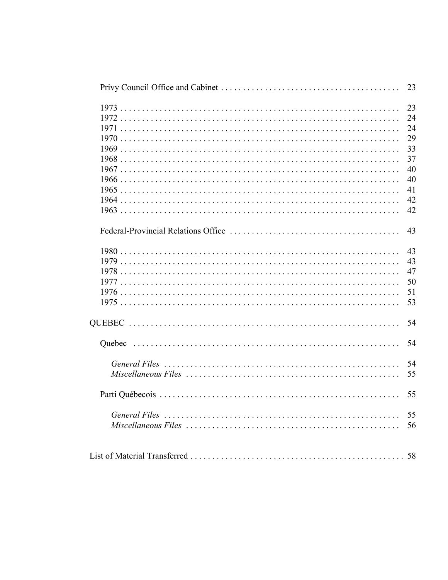|                                                                                                                   | 23 |
|-------------------------------------------------------------------------------------------------------------------|----|
|                                                                                                                   | 23 |
|                                                                                                                   | 24 |
|                                                                                                                   | 24 |
|                                                                                                                   | 29 |
|                                                                                                                   | 33 |
|                                                                                                                   | 37 |
|                                                                                                                   | 40 |
|                                                                                                                   | 40 |
|                                                                                                                   | 41 |
|                                                                                                                   | 42 |
|                                                                                                                   | 42 |
|                                                                                                                   |    |
|                                                                                                                   | 43 |
|                                                                                                                   | 43 |
|                                                                                                                   | 43 |
|                                                                                                                   | 47 |
|                                                                                                                   | 50 |
|                                                                                                                   | 51 |
|                                                                                                                   | 53 |
|                                                                                                                   | 54 |
|                                                                                                                   | 54 |
|                                                                                                                   |    |
|                                                                                                                   | 54 |
|                                                                                                                   | 55 |
|                                                                                                                   | 55 |
|                                                                                                                   | 55 |
| $Miscellaaneous Files \ldots \ldots \ldots \ldots \ldots \ldots \ldots \ldots \ldots \ldots \ldots \ldots \ldots$ | 56 |
|                                                                                                                   |    |
|                                                                                                                   |    |
|                                                                                                                   |    |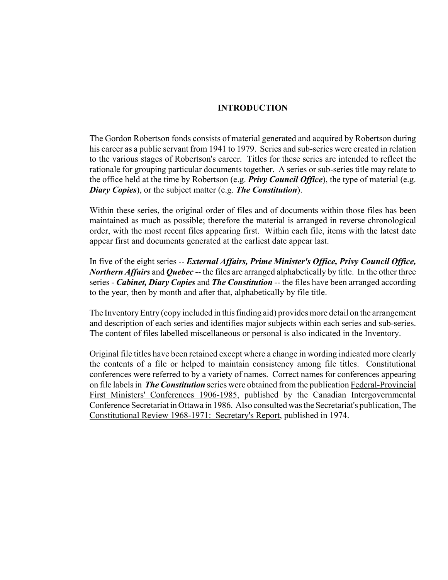#### **INTRODUCTION**

The Gordon Robertson fonds consists of material generated and acquired by Robertson during his career as a public servant from 1941 to 1979. Series and sub-series were created in relation to the various stages of Robertson's career. Titles for these series are intended to reflect the rationale for grouping particular documents together. A series or sub-series title may relate to the office held at the time by Robertson (e.g. *Privy Council Office*), the type of material (e.g. *Diary Copies*), or the subject matter (e.g. *The Constitution*).

Within these series, the original order of files and of documents within those files has been maintained as much as possible; therefore the material is arranged in reverse chronological order, with the most recent files appearing first. Within each file, items with the latest date appear first and documents generated at the earliest date appear last.

In five of the eight series -- *External Affairs, Prime Minister's Office, Privy Council Office, Northern Affairs* and *Quebec* -- the files are arranged alphabetically by title. In the other three series - *Cabinet, Diary Copies* and *The Constitution* -- the files have been arranged according to the year, then by month and after that, alphabetically by file title.

The Inventory Entry (copy included in this finding aid) provides more detail on the arrangement and description of each series and identifies major subjects within each series and sub-series. The content of files labelled miscellaneous or personal is also indicated in the Inventory.

Original file titles have been retained except where a change in wording indicated more clearly the contents of a file or helped to maintain consistency among file titles. Constitutional conferences were referred to by a variety of names. Correct names for conferences appearing on file labels in *The Constitution* series were obtained from the publication Federal-Provincial First Ministers' Conferences 1906-1985, published by the Canadian Intergovernmental Conference Secretariat in Ottawa in 1986. Also consulted was the Secretariat's publication, The Constitutional Review 1968-1971: Secretary's Report, published in 1974.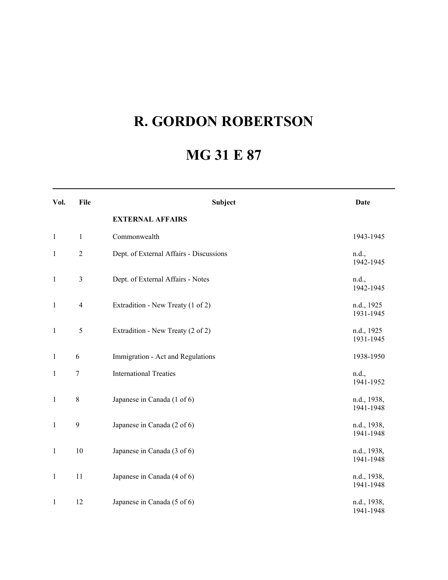# **R. GORDON ROBERTSON**

# **MG 31 E 87**

| Vol.         | File             | Subject                                 | <b>Date</b>              |
|--------------|------------------|-----------------------------------------|--------------------------|
|              |                  | <b>EXTERNAL AFFAIRS</b>                 |                          |
| $\mathbf{1}$ | $\mathbf{1}$     | Commonwealth                            | 1943-1945                |
| $\mathbf{1}$ | $\sqrt{2}$       | Dept. of External Affairs - Discussions | n.d.,<br>1942-1945       |
| $\mathbf{1}$ | $\mathfrak{Z}$   | Dept. of External Affairs - Notes       | n.d.,<br>1942-1945       |
| $\mathbf{1}$ | $\overline{4}$   | Extradition - New Treaty (1 of 2)       | n.d., 1925<br>1931-1945  |
| $\mathbf{1}$ | $\mathfrak s$    | Extradition - New Treaty (2 of 2)       | n.d., 1925<br>1931-1945  |
| $\mathbf{1}$ | 6                | Immigration - Act and Regulations       | 1938-1950                |
| 1            | $\boldsymbol{7}$ | <b>International Treaties</b>           | n.d.,<br>1941-1952       |
| $\mathbf{1}$ | $8\,$            | Japanese in Canada (1 of 6)             | n.d., 1938,<br>1941-1948 |
| $\mathbf{1}$ | $\mathbf{9}$     | Japanese in Canada (2 of 6)             | n.d., 1938,<br>1941-1948 |
| $\mathbf{1}$ | 10               | Japanese in Canada (3 of 6)             | n.d., 1938,<br>1941-1948 |
| $\mathbf{1}$ | 11               | Japanese in Canada (4 of 6)             | n.d., 1938,<br>1941-1948 |
| $\mathbf{1}$ | 12               | Japanese in Canada (5 of 6)             | n.d., 1938,<br>1941-1948 |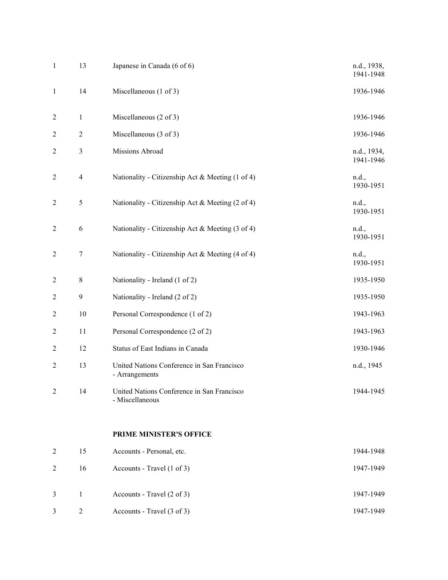| $\mathbf{1}$     | 13             | Japanese in Canada (6 of 6)                                   | n.d., 1938,<br>1941-1948 |
|------------------|----------------|---------------------------------------------------------------|--------------------------|
| $\mathbf{1}$     | 14             | Miscellaneous $(1 \text{ of } 3)$                             | 1936-1946                |
| $\overline{2}$   | $\mathbf{1}$   | Miscellaneous $(2 \text{ of } 3)$                             | 1936-1946                |
| $\overline{2}$   | $\overline{c}$ | Miscellaneous (3 of 3)                                        | 1936-1946                |
| $\overline{2}$   | $\mathfrak{Z}$ | Missions Abroad                                               | n.d., 1934,<br>1941-1946 |
| $\overline{c}$   | $\overline{4}$ | Nationality - Citizenship Act & Meeting (1 of 4)              | n.d.,<br>1930-1951       |
| $\overline{2}$   | 5              | Nationality - Citizenship Act & Meeting (2 of 4)              | n.d.,<br>1930-1951       |
| $\overline{2}$   | 6              | Nationality - Citizenship Act & Meeting (3 of 4)              | n.d.,<br>1930-1951       |
| $\overline{c}$   | 7              | Nationality - Citizenship Act & Meeting (4 of 4)              | n.d.,<br>1930-1951       |
| $\overline{2}$   | $8\,$          | Nationality - Ireland (1 of 2)                                | 1935-1950                |
| $\overline{c}$   | 9              | Nationality - Ireland (2 of 2)                                | 1935-1950                |
| $\overline{2}$   | 10             | Personal Correspondence (1 of 2)                              | 1943-1963                |
| $\boldsymbol{2}$ | 11             | Personal Correspondence (2 of 2)                              | 1943-1963                |
| $\overline{2}$   | 12             | Status of East Indians in Canada                              | 1930-1946                |
| $\overline{2}$   | 13             | United Nations Conference in San Francisco<br>- Arrangements  | n.d., 1945               |
| 2                | 14             | United Nations Conference in San Francisco<br>- Miscellaneous | 1944-1945                |
|                  |                | PRIME MINISTER'S OFFICE                                       |                          |
| $\overline{c}$   | 15             | Accounts - Personal, etc.                                     | 1944-1948                |
| $\overline{2}$   | 16             | Accounts - Travel (1 of 3)                                    | 1947-1949                |
| $\mathfrak{Z}$   | $\mathbf{1}$   | Accounts - Travel (2 of 3)                                    | 1947-1949                |
| $\mathfrak{Z}$   | $\overline{c}$ | Accounts - Travel (3 of 3)                                    | 1947-1949                |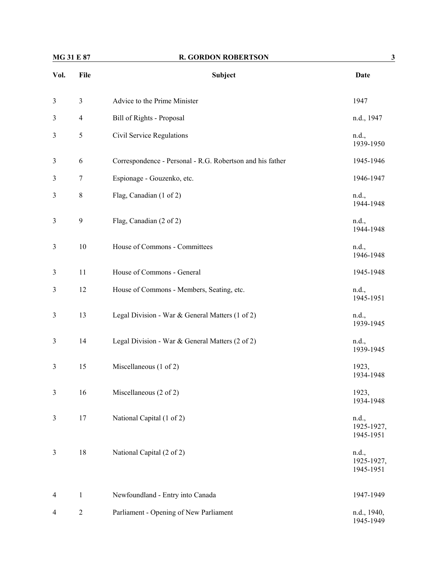| MG 31 E 87     |                  | <b>R. GORDON ROBERTSON</b>                                | 3                                |
|----------------|------------------|-----------------------------------------------------------|----------------------------------|
| Vol.           | File             | Subject                                                   | Date                             |
| 3              | 3                | Advice to the Prime Minister                              | 1947                             |
| $\mathfrak{Z}$ | $\overline{4}$   | Bill of Rights - Proposal                                 | n.d., 1947                       |
| 3              | 5                | Civil Service Regulations                                 | n.d.,<br>1939-1950               |
| $\mathfrak{Z}$ | $\sqrt{6}$       | Correspondence - Personal - R.G. Robertson and his father | 1945-1946                        |
| 3              | $\boldsymbol{7}$ | Espionage - Gouzenko, etc.                                | 1946-1947                        |
| 3              | 8                | Flag, Canadian (1 of 2)                                   | n.d.,<br>1944-1948               |
| 3              | 9                | Flag, Canadian (2 of 2)                                   | n.d.,<br>1944-1948               |
| $\mathfrak{Z}$ | 10               | House of Commons - Committees                             | n.d.,<br>1946-1948               |
| $\mathfrak{Z}$ | 11               | House of Commons - General                                | 1945-1948                        |
| 3              | 12               | House of Commons - Members, Seating, etc.                 | n.d.,<br>1945-1951               |
| $\mathfrak{Z}$ | 13               | Legal Division - War & General Matters (1 of 2)           | n.d.,<br>1939-1945               |
| 3              | 14               | Legal Division - War & General Matters (2 of 2)           | n.d.,<br>1939-1945               |
| 3              | 15               | Miscellaneous (1 of 2)                                    | 1923,<br>1934-1948               |
| 3              | 16               | Miscellaneous (2 of 2)                                    | 1923,<br>1934-1948               |
| 3              | 17               | National Capital (1 of 2)                                 | n.d.,<br>1925-1927,<br>1945-1951 |
| $\mathfrak{Z}$ | 18               | National Capital (2 of 2)                                 | n.d.,<br>1925-1927,<br>1945-1951 |
| 4              | $\mathbf{1}$     | Newfoundland - Entry into Canada                          | 1947-1949                        |
| 4              | $\boldsymbol{2}$ | Parliament - Opening of New Parliament                    | n.d., 1940,<br>1945-1949         |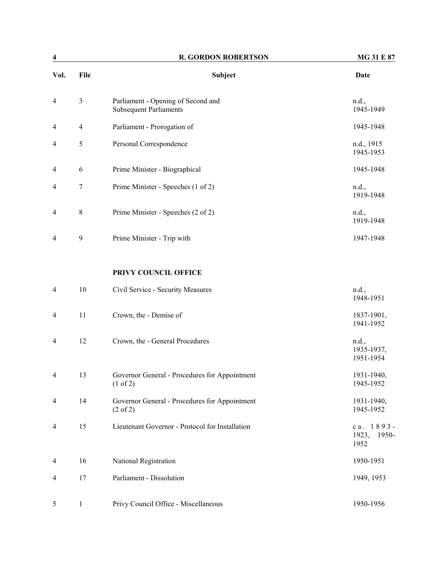| $\overline{\mathbf{4}}$ |                  | <b>R. GORDON ROBERTSON</b>                                           | MG 31 E 87                          |
|-------------------------|------------------|----------------------------------------------------------------------|-------------------------------------|
| Vol.                    | File             | Subject                                                              | <b>Date</b>                         |
| 4                       | $\mathfrak{Z}$   | Parliament - Opening of Second and<br><b>Subsequent Parliaments</b>  | n.d.,<br>1945-1949                  |
| 4                       | $\overline{4}$   | Parliament - Prorogation of                                          | 1945-1948                           |
| 4                       | 5                | Personal Correspondence                                              | n.d., 1915<br>1945-1953             |
| 4                       | 6                | Prime Minister - Biographical                                        | 1945-1948                           |
| 4                       | $\boldsymbol{7}$ | Prime Minister - Speeches (1 of 2)                                   | n.d.,<br>1919-1948                  |
| 4                       | $\,8\,$          | Prime Minister - Speeches (2 of 2)                                   | n.d.,<br>1919-1948                  |
| 4                       | 9                | Prime Minister - Trip with                                           | 1947-1948                           |
|                         |                  | PRIVY COUNCIL OFFICE                                                 |                                     |
| $\overline{4}$          | 10               | Civil Service - Security Measures                                    | n.d.,<br>1948-1951                  |
| 4                       | 11               | Crown, the - Demise of                                               | 1837-1901,<br>1941-1952             |
| 4                       | 12               | Crown, the - General Procedures                                      | n.d.,<br>1935-1937,<br>1951-1954    |
| 4                       | 13               | Governor General - Procedures for Appointment<br>(1 of 2)            | 1931-1940,<br>1945-1952             |
| 4                       | 14               | Governor General - Procedures for Appointment<br>$(2 \text{ of } 2)$ | 1931-1940,<br>1945-1952             |
| 4                       | 15               | Lieutenant Governor - Protocol for Installation                      | ca. 1893-<br>1923,<br>1950-<br>1952 |
| 4                       | 16               | National Registration                                                | 1950-1951                           |
| 4                       | 17               | Parliament - Dissolution                                             | 1949, 1953                          |
| 5                       | $\mathbf{1}$     | Privy Council Office - Miscellaneous                                 | 1950-1956                           |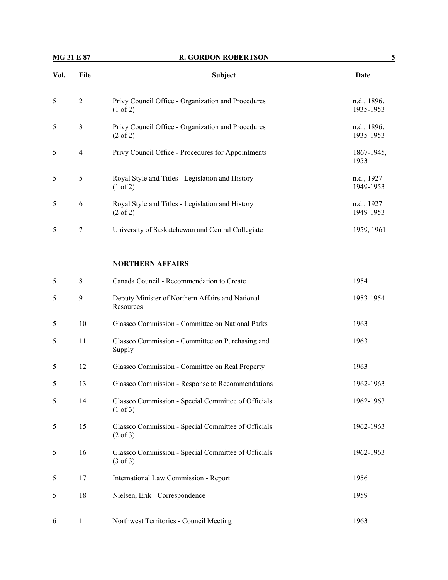# **MG 31 E 87** R. GORDON ROBERTSON 5

| Vol.   | File           | <b>Subject</b>                                                            | Date                     |
|--------|----------------|---------------------------------------------------------------------------|--------------------------|
| 5      | $\mathbf{2}$   | Privy Council Office - Organization and Procedures<br>$(1 \text{ of } 2)$ | n.d., 1896,<br>1935-1953 |
| 5      | 3              | Privy Council Office - Organization and Procedures<br>$(2 \text{ of } 2)$ | n.d., 1896,<br>1935-1953 |
| 5      | $\overline{4}$ | Privy Council Office - Procedures for Appointments                        | 1867-1945,<br>1953       |
| 5      | 5              | Royal Style and Titles - Legislation and History<br>$(1 \text{ of } 2)$   | n.d., 1927<br>1949-1953  |
| 5      | 6              | Royal Style and Titles - Legislation and History<br>$(2 \text{ of } 2)$   | n.d., 1927<br>1949-1953  |
| 5      | 7              | University of Saskatchewan and Central Collegiate                         | 1959, 1961               |
|        |                | <b>NORTHERN AFFAIRS</b>                                                   |                          |
| $\sim$ | 8              | Canada Council - Recommendation to Create                                 | 1954                     |

| ◡ | $\circ$ | Canada Council - Reconfinendation to Create                                | 1724      |
|---|---------|----------------------------------------------------------------------------|-----------|
| 5 | 9       | Deputy Minister of Northern Affairs and National<br>Resources              | 1953-1954 |
| 5 | 10      | Glassco Commission - Committee on National Parks                           | 1963      |
| 5 | 11      | Glassco Commission - Committee on Purchasing and<br>Supply                 | 1963      |
| 5 | 12      | Glassco Commission - Committee on Real Property                            | 1963      |
| 5 | 13      | Glassco Commission - Response to Recommendations                           | 1962-1963 |
| 5 | 14      | Glassco Commission - Special Committee of Officials<br>$(1 \text{ of } 3)$ | 1962-1963 |
| 5 | 15      | Glassco Commission - Special Committee of Officials<br>$(2 \text{ of } 3)$ | 1962-1963 |
| 5 | 16      | Glassco Commission - Special Committee of Officials<br>$(3 \text{ of } 3)$ | 1962-1963 |
| 5 | 17      | International Law Commission - Report                                      | 1956      |
| 5 | 18      | Nielsen, Erik - Correspondence                                             | 1959      |
| 6 | 1       | Northwest Territories - Council Meeting                                    | 1963      |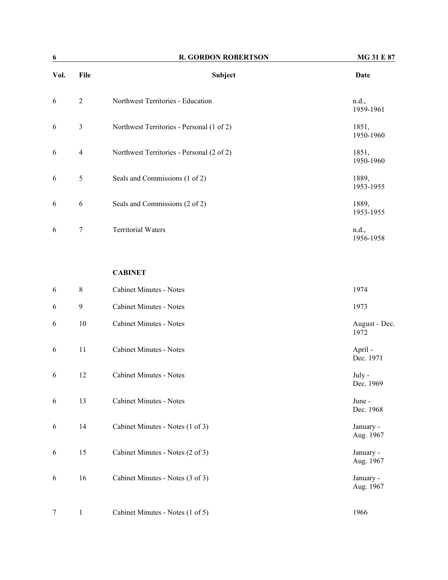| 6    |                | <b>R. GORDON ROBERTSON</b>                | <b>MG 31 E 87</b>  |
|------|----------------|-------------------------------------------|--------------------|
| Vol. | File           | Subject                                   | Date               |
| 6    | $\overline{2}$ | Northwest Territories - Education         | n.d.,<br>1959-1961 |
| 6    | 3              | Northwest Territories - Personal (1 of 2) | 1851,<br>1950-1960 |
| 6    | $\overline{4}$ | Northwest Territories - Personal (2 of 2) | 1851,<br>1950-1960 |
| 6    | 5              | Seals and Commissions (1 of 2)            | 1889,<br>1953-1955 |
| 6    | 6              | Seals and Commissions (2 of 2)            | 1889,<br>1953-1955 |
| 6    | 7              | <b>Territorial Waters</b>                 | n.d.,<br>1956-1958 |

#### **CABINET**

| 6      | 8  | <b>Cabinet Minutes - Notes</b>   | 1974                   |
|--------|----|----------------------------------|------------------------|
| 6      | 9  | <b>Cabinet Minutes - Notes</b>   | 1973                   |
| 6      | 10 | <b>Cabinet Minutes - Notes</b>   | August - Dec.<br>1972  |
| 6      | 11 | Cabinet Minutes - Notes          | April -<br>Dec. 1971   |
| 6      | 12 | <b>Cabinet Minutes - Notes</b>   | July -<br>Dec. 1969    |
| 6      | 13 | <b>Cabinet Minutes - Notes</b>   | June -<br>Dec. 1968    |
| 6      | 14 | Cabinet Minutes - Notes (1 of 3) | January -<br>Aug. 1967 |
| 6      | 15 | Cabinet Minutes - Notes (2 of 3) | January -<br>Aug. 1967 |
| 6      | 16 | Cabinet Minutes - Notes (3 of 3) | January -<br>Aug. 1967 |
| $\tau$ | 1  | Cabinet Minutes - Notes (1 of 5) | 1966                   |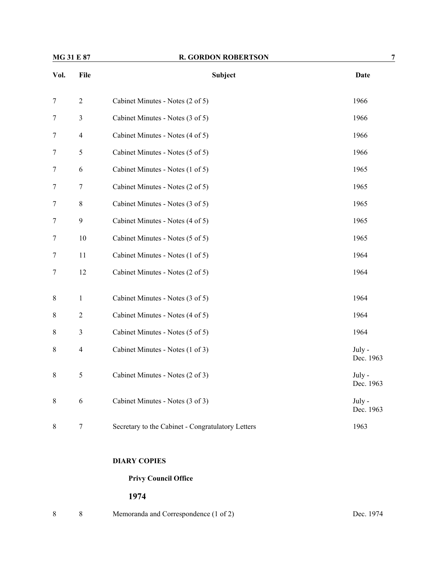| MG 31 E 87       |                | <b>R. GORDON ROBERTSON</b>                        | 7                   |
|------------------|----------------|---------------------------------------------------|---------------------|
| Vol.             | File           | Subject                                           | <b>Date</b>         |
| 7                | $\mathbf{2}$   | Cabinet Minutes - Notes (2 of 5)                  | 1966                |
| 7                | $\mathfrak{Z}$ | Cabinet Minutes - Notes (3 of 5)                  | 1966                |
| $\tau$           | $\overline{4}$ | Cabinet Minutes - Notes (4 of 5)                  | 1966                |
| 7                | 5              | Cabinet Minutes - Notes (5 of 5)                  | 1966                |
| $\boldsymbol{7}$ | $\sqrt{6}$     | Cabinet Minutes - Notes (1 of 5)                  | 1965                |
| 7                | 7              | Cabinet Minutes - Notes (2 of 5)                  | 1965                |
| $\tau$           | $8\,$          | Cabinet Minutes - Notes (3 of 5)                  | 1965                |
| $\tau$           | 9              | Cabinet Minutes - Notes (4 of 5)                  | 1965                |
| 7                | 10             | Cabinet Minutes - Notes (5 of 5)                  | 1965                |
| 7                | 11             | Cabinet Minutes - Notes (1 of 5)                  | 1964                |
| $\tau$           | 12             | Cabinet Minutes - Notes (2 of 5)                  | 1964                |
| 8                | $\mathbf{1}$   | Cabinet Minutes - Notes (3 of 5)                  | 1964                |
| 8                | $\overline{2}$ | Cabinet Minutes - Notes (4 of 5)                  | 1964                |
| 8                | 3              | Cabinet Minutes - Notes (5 of 5)                  | 1964                |
| $\,8\,$          | 4              | Cabinet Minutes - Notes (1 of 3)                  | July -<br>Dec. 1963 |
| $8\,$            | 5              | Cabinet Minutes - Notes (2 of 3)                  | July -<br>Dec. 1963 |
| 8                | 6              | Cabinet Minutes - Notes (3 of 3)                  | July -<br>Dec. 1963 |
| 8                | 7              | Secretary to the Cabinet - Congratulatory Letters | 1963                |

# **DIARY COPIES**

# **Privy Council Office**

|  | Memoranda and Correspondence (1 of 2) | Dec. 1974 |
|--|---------------------------------------|-----------|
|  |                                       |           |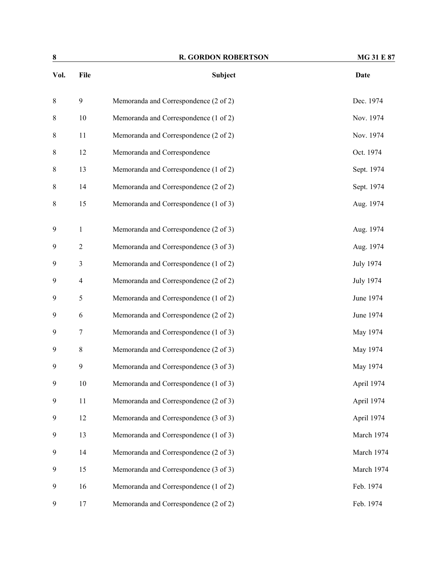| 8       |                | <b>R. GORDON ROBERTSON</b>            | <b>MG 31 E 87</b> |
|---------|----------------|---------------------------------------|-------------------|
| Vol.    | File           | <b>Subject</b>                        | Date              |
| $\,8\,$ | 9              | Memoranda and Correspondence (2 of 2) | Dec. 1974         |
| $\,8\,$ | 10             | Memoranda and Correspondence (1 of 2) | Nov. 1974         |
| $\,8\,$ | 11             | Memoranda and Correspondence (2 of 2) | Nov. 1974         |
| 8       | 12             | Memoranda and Correspondence          | Oct. 1974         |
| 8       | 13             | Memoranda and Correspondence (1 of 2) | Sept. 1974        |
| 8       | 14             | Memoranda and Correspondence (2 of 2) | Sept. 1974        |
| 8       | 15             | Memoranda and Correspondence (1 of 3) | Aug. 1974         |
| 9       | 1              | Memoranda and Correspondence (2 of 3) | Aug. 1974         |
| 9       | $\overline{c}$ | Memoranda and Correspondence (3 of 3) | Aug. 1974         |
| 9       | 3              | Memoranda and Correspondence (1 of 2) | <b>July 1974</b>  |
| 9       | 4              | Memoranda and Correspondence (2 of 2) | <b>July 1974</b>  |
| 9       | 5              | Memoranda and Correspondence (1 of 2) | June 1974         |
| 9       | 6              | Memoranda and Correspondence (2 of 2) | June 1974         |
| 9       | 7              | Memoranda and Correspondence (1 of 3) | May 1974          |
| 9       | 8              | Memoranda and Correspondence (2 of 3) | May 1974          |
| 9       | 9              | Memoranda and Correspondence (3 of 3) | May 1974          |
| 9       | $10\,$         | Memoranda and Correspondence (1 of 3) | April 1974        |
| 9       | 11             | Memoranda and Correspondence (2 of 3) | April 1974        |
| 9       | 12             | Memoranda and Correspondence (3 of 3) | April 1974        |
| 9       | 13             | Memoranda and Correspondence (1 of 3) | March 1974        |
| 9       | 14             | Memoranda and Correspondence (2 of 3) | March 1974        |
| 9       | 15             | Memoranda and Correspondence (3 of 3) | March 1974        |
| 9       | 16             | Memoranda and Correspondence (1 of 2) | Feb. 1974         |
| 9       | 17             | Memoranda and Correspondence (2 of 2) | Feb. 1974         |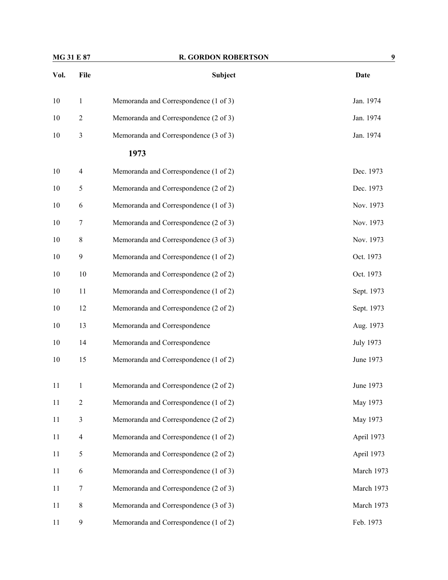| MG 31 E 87 |                         | <b>R. GORDON ROBERTSON</b>            | 9                |
|------------|-------------------------|---------------------------------------|------------------|
| Vol.       | File                    | Subject                               | <b>Date</b>      |
| 10         | $\mathbf{1}$            | Memoranda and Correspondence (1 of 3) | Jan. 1974        |
| 10         | $\overline{2}$          | Memoranda and Correspondence (2 of 3) | Jan. 1974        |
| 10         | $\overline{\mathbf{3}}$ | Memoranda and Correspondence (3 of 3) | Jan. 1974        |
|            |                         | 1973                                  |                  |
| 10         | $\overline{4}$          | Memoranda and Correspondence (1 of 2) | Dec. 1973        |
| 10         | 5                       | Memoranda and Correspondence (2 of 2) | Dec. 1973        |
| 10         | 6                       | Memoranda and Correspondence (1 of 3) | Nov. 1973        |
| 10         | 7                       | Memoranda and Correspondence (2 of 3) | Nov. 1973        |
| 10         | 8                       | Memoranda and Correspondence (3 of 3) | Nov. 1973        |
| 10         | 9                       | Memoranda and Correspondence (1 of 2) | Oct. 1973        |
| 10         | 10                      | Memoranda and Correspondence (2 of 2) | Oct. 1973        |
| 10         | 11                      | Memoranda and Correspondence (1 of 2) | Sept. 1973       |
| 10         | 12                      | Memoranda and Correspondence (2 of 2) | Sept. 1973       |
| 10         | 13                      | Memoranda and Correspondence          | Aug. 1973        |
| 10         | 14                      | Memoranda and Correspondence          | <b>July 1973</b> |
| 10         | 15                      | Memoranda and Correspondence (1 of 2) | June 1973        |
| 11         | $\mathbf{1}$            | Memoranda and Correspondence (2 of 2) | June 1973        |
| 11         | $\boldsymbol{2}$        | Memoranda and Correspondence (1 of 2) | May 1973         |
| 11         | $\mathfrak{Z}$          | Memoranda and Correspondence (2 of 2) | May 1973         |
| 11         | $\overline{\mathbf{4}}$ | Memoranda and Correspondence (1 of 2) | April 1973       |
| 11         | 5                       | Memoranda and Correspondence (2 of 2) | April 1973       |
| 11         | 6                       | Memoranda and Correspondence (1 of 3) | March 1973       |
| 11         | 7                       | Memoranda and Correspondence (2 of 3) | March 1973       |
| 11         | $8\,$                   | Memoranda and Correspondence (3 of 3) | March 1973       |
| 11         | $\mathbf{9}$            | Memoranda and Correspondence (1 of 2) | Feb. 1973        |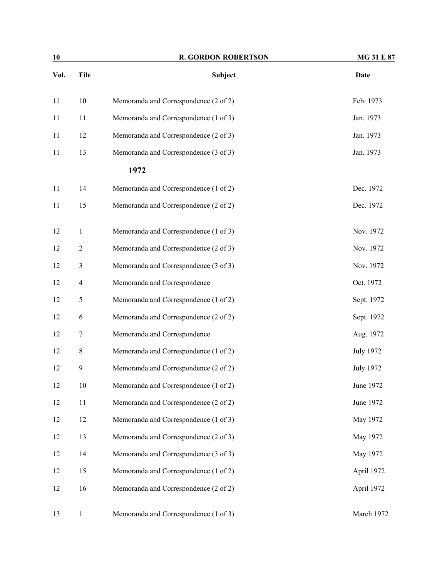| 10   |                         | <b>R. GORDON ROBERTSON</b>            | <b>MG 31 E 87</b> |
|------|-------------------------|---------------------------------------|-------------------|
| Vol. | File                    | Subject                               | <b>Date</b>       |
| 11   | 10                      | Memoranda and Correspondence (2 of 2) | Feb. 1973         |
| 11   | 11                      | Memoranda and Correspondence (1 of 3) | Jan. 1973         |
| 11   | 12                      | Memoranda and Correspondence (2 of 3) | Jan. 1973         |
| 11   | 13                      | Memoranda and Correspondence (3 of 3) | Jan. 1973         |
|      |                         | 1972                                  |                   |
| 11   | 14                      | Memoranda and Correspondence (1 of 2) | Dec. 1972         |
| 11   | 15                      | Memoranda and Correspondence (2 of 2) | Dec. 1972         |
| 12   | $\mathbf{1}$            | Memoranda and Correspondence (1 of 3) | Nov. 1972         |
| 12   | $\mathfrak{2}$          | Memoranda and Correspondence (2 of 3) | Nov. 1972         |
| 12   | 3                       | Memoranda and Correspondence (3 of 3) | Nov. 1972         |
| 12   | $\overline{\mathbf{4}}$ | Memoranda and Correspondence          | Oct. 1972         |
| 12   | 5                       | Memoranda and Correspondence (1 of 2) | Sept. 1972        |
| 12   | 6                       | Memoranda and Correspondence (2 of 2) | Sept. 1972        |
| 12   | 7                       | Memoranda and Correspondence          | Aug. 1972         |
| 12   | $8\,$                   | Memoranda and Correspondence (1 of 2) | <b>July 1972</b>  |
| 12   | 9                       | Memoranda and Correspondence (2 of 2) | <b>July 1972</b>  |
| 12   | 10                      | Memoranda and Correspondence (1 of 2) | June 1972         |
| 12   | 11                      | Memoranda and Correspondence (2 of 2) | June 1972         |
| 12   | 12                      | Memoranda and Correspondence (1 of 3) | May 1972          |
| 12   | 13                      | Memoranda and Correspondence (2 of 3) | May 1972          |
| 12   | 14                      | Memoranda and Correspondence (3 of 3) | May 1972          |
| 12   | 15                      | Memoranda and Correspondence (1 of 2) | April 1972        |
| 12   | 16                      | Memoranda and Correspondence (2 of 2) | April 1972        |
| 13   | $\mathbf{1}$            | Memoranda and Correspondence (1 of 3) | March 1972        |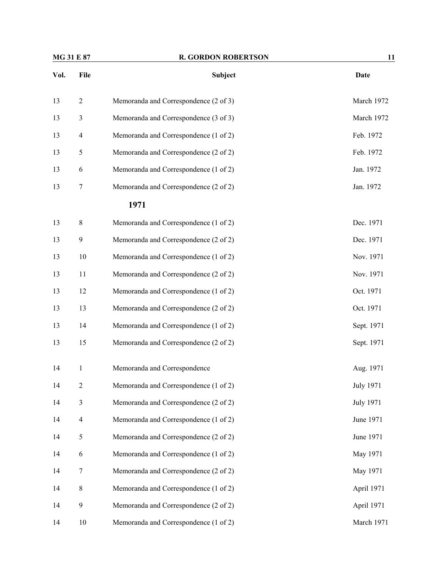|      | <b>MG 31 E 87</b>       | <b>R. GORDON ROBERTSON</b>            | 11               |
|------|-------------------------|---------------------------------------|------------------|
| Vol. | File                    | <b>Subject</b>                        | <b>Date</b>      |
| 13   | $\overline{2}$          | Memoranda and Correspondence (2 of 3) | March 1972       |
| 13   | 3                       | Memoranda and Correspondence (3 of 3) | March 1972       |
| 13   | $\overline{4}$          | Memoranda and Correspondence (1 of 2) | Feb. 1972        |
| 13   | 5                       | Memoranda and Correspondence (2 of 2) | Feb. 1972        |
| 13   | 6                       | Memoranda and Correspondence (1 of 2) | Jan. 1972        |
| 13   | 7                       | Memoranda and Correspondence (2 of 2) | Jan. 1972        |
|      |                         | 1971                                  |                  |
| 13   | 8                       | Memoranda and Correspondence (1 of 2) | Dec. 1971        |
| 13   | $\boldsymbol{9}$        | Memoranda and Correspondence (2 of 2) | Dec. 1971        |
| 13   | $10\,$                  | Memoranda and Correspondence (1 of 2) | Nov. 1971        |
| 13   | 11                      | Memoranda and Correspondence (2 of 2) | Nov. 1971        |
| 13   | 12                      | Memoranda and Correspondence (1 of 2) | Oct. 1971        |
| 13   | 13                      | Memoranda and Correspondence (2 of 2) | Oct. 1971        |
| 13   | 14                      | Memoranda and Correspondence (1 of 2) | Sept. 1971       |
| 13   | 15                      | Memoranda and Correspondence (2 of 2) | Sept. 1971       |
| 14   | 1                       | Memoranda and Correspondence          | Aug. 1971        |
| 14   | $\mathfrak{2}$          | Memoranda and Correspondence (1 of 2) | <b>July 1971</b> |
| 14   | 3                       | Memoranda and Correspondence (2 of 2) | <b>July 1971</b> |
| 14   | $\overline{\mathbf{4}}$ | Memoranda and Correspondence (1 of 2) | June 1971        |
| 14   | $\mathfrak s$           | Memoranda and Correspondence (2 of 2) | June 1971        |
| 14   | 6                       | Memoranda and Correspondence (1 of 2) | May 1971         |
| 14   | $\boldsymbol{7}$        | Memoranda and Correspondence (2 of 2) | May 1971         |
| 14   | $\,8\,$                 | Memoranda and Correspondence (1 of 2) | April 1971       |
| 14   | 9                       | Memoranda and Correspondence (2 of 2) | April 1971       |
| 14   | 10                      | Memoranda and Correspondence (1 of 2) | March 1971       |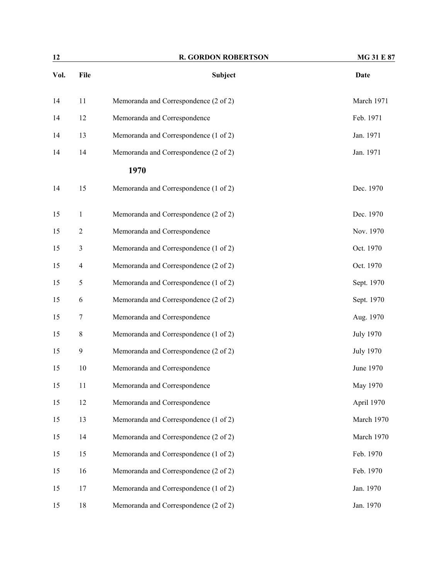| 12   |                         | <b>R. GORDON ROBERTSON</b>            | <b>MG 31 E 87</b> |
|------|-------------------------|---------------------------------------|-------------------|
| Vol. | File                    | <b>Subject</b>                        | <b>Date</b>       |
| 14   | 11                      | Memoranda and Correspondence (2 of 2) | March 1971        |
| 14   | 12                      | Memoranda and Correspondence          | Feb. 1971         |
| 14   | 13                      | Memoranda and Correspondence (1 of 2) | Jan. 1971         |
| 14   | 14                      | Memoranda and Correspondence (2 of 2) | Jan. 1971         |
|      |                         | 1970                                  |                   |
| 14   | 15                      | Memoranda and Correspondence (1 of 2) | Dec. 1970         |
| 15   | $\mathbf{1}$            | Memoranda and Correspondence (2 of 2) | Dec. 1970         |
| 15   | $\boldsymbol{2}$        | Memoranda and Correspondence          | Nov. 1970         |
| 15   | 3                       | Memoranda and Correspondence (1 of 2) | Oct. 1970         |
| 15   | $\overline{\mathbf{4}}$ | Memoranda and Correspondence (2 of 2) | Oct. 1970         |
| 15   | 5                       | Memoranda and Correspondence (1 of 2) | Sept. 1970        |
| 15   | 6                       | Memoranda and Correspondence (2 of 2) | Sept. 1970        |
| 15   | 7                       | Memoranda and Correspondence          | Aug. 1970         |
| 15   | $8\,$                   | Memoranda and Correspondence (1 of 2) | <b>July 1970</b>  |
| 15   | 9                       | Memoranda and Correspondence (2 of 2) | <b>July 1970</b>  |
| 15   | 10                      | Memoranda and Correspondence          | June 1970         |
| 15   | 11                      | Memoranda and Correspondence          | May 1970          |
| 15   | 12                      | Memoranda and Correspondence          | April 1970        |
| 15   | 13                      | Memoranda and Correspondence (1 of 2) | March 1970        |
| 15   | 14                      | Memoranda and Correspondence (2 of 2) | March 1970        |
| 15   | 15                      | Memoranda and Correspondence (1 of 2) | Feb. 1970         |
| 15   | 16                      | Memoranda and Correspondence (2 of 2) | Feb. 1970         |
| 15   | 17                      | Memoranda and Correspondence (1 of 2) | Jan. 1970         |
| 15   | 18                      | Memoranda and Correspondence (2 of 2) | Jan. 1970         |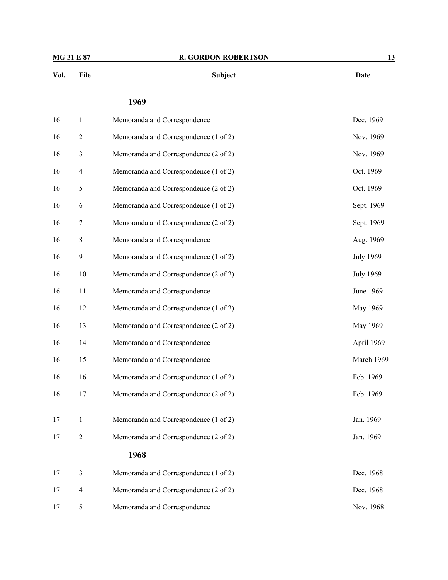| File             | Subject                               | <b>Date</b>      |
|------------------|---------------------------------------|------------------|
|                  | 1969                                  |                  |
| 1                | Memoranda and Correspondence          | Dec. 1969        |
| $\overline{2}$   | Memoranda and Correspondence (1 of 2) | Nov. 1969        |
| 3                | Memoranda and Correspondence (2 of 2) | Nov. 1969        |
| 4                | Memoranda and Correspondence (1 of 2) | Oct. 1969        |
| 5                | Memoranda and Correspondence (2 of 2) | Oct. 1969        |
| 6                | Memoranda and Correspondence (1 of 2) | Sept. 1969       |
| 7                | Memoranda and Correspondence (2 of 2) | Sept. 1969       |
| 8                | Memoranda and Correspondence          | Aug. 1969        |
| $\boldsymbol{9}$ | Memoranda and Correspondence (1 of 2) | <b>July 1969</b> |
| 10               | Memoranda and Correspondence (2 of 2) | <b>July 1969</b> |
| 11               | Memoranda and Correspondence          | June 1969        |
| 12               | Memoranda and Correspondence (1 of 2) | May 1969         |
| 13               | Memoranda and Correspondence (2 of 2) | May 1969         |
| 14               | Memoranda and Correspondence          | April 1969       |
| 15               | Memoranda and Correspondence          | March 1969       |
| 16               | Memoranda and Correspondence (1 of 2) | Feb. 1969        |
| 17               | Memoranda and Correspondence (2 of 2) | Feb. 1969        |
| 1                | Memoranda and Correspondence (1 of 2) | Jan. 1969        |
| 2                | Memoranda and Correspondence (2 of 2) | Jan. 1969        |
|                  |                                       |                  |

|  | Memoranda and Correspondence (1 of 2) | Dec. 1968 |
|--|---------------------------------------|-----------|
|  | Memoranda and Correspondence (2 of 2) | Dec. 1968 |
|  | Memoranda and Correspondence          | Nov. 1968 |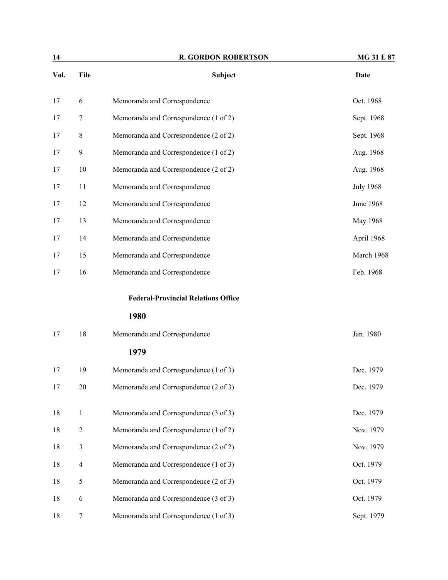| 14   |                  | <b>R. GORDON ROBERTSON</b>                 | MG 31 E 87       |
|------|------------------|--------------------------------------------|------------------|
| Vol. | File             | <b>Subject</b>                             | <b>Date</b>      |
| 17   | 6                | Memoranda and Correspondence               | Oct. 1968        |
| 17   | 7                | Memoranda and Correspondence (1 of 2)      | Sept. 1968       |
| 17   | 8                | Memoranda and Correspondence (2 of 2)      | Sept. 1968       |
| 17   | $\boldsymbol{9}$ | Memoranda and Correspondence (1 of 2)      | Aug. 1968        |
| 17   | 10               | Memoranda and Correspondence (2 of 2)      | Aug. 1968        |
| 17   | 11               | Memoranda and Correspondence               | <b>July 1968</b> |
| 17   | 12               | Memoranda and Correspondence               | June 1968        |
| 17   | 13               | Memoranda and Correspondence               | May 1968         |
| 17   | 14               | Memoranda and Correspondence               | April 1968       |
| 17   | 15               | Memoranda and Correspondence               | March 1968       |
| 17   | 16               | Memoranda and Correspondence               | Feb. 1968        |
|      |                  | <b>Federal-Provincial Relations Office</b> |                  |
|      |                  | 1980                                       |                  |
| 17   | 18               | Memoranda and Correspondence               | Jan. 1980        |
|      |                  | 1979                                       |                  |
| 17   | 19               | Memoranda and Correspondence (1 of 3)      | Dec. 1979        |
| 17   | $20\,$           | Memoranda and Correspondence (2 of 3)      | Dec. 1979        |
| 18   | $\mathbf{1}$     | Memoranda and Correspondence (3 of 3)      | Dec. 1979        |
| 18   | $\overline{2}$   | Memoranda and Correspondence (1 of 2)      | Nov. 1979        |
| 18   | $\mathfrak{Z}$   | Memoranda and Correspondence (2 of 2)      | Nov. 1979        |
| 18   | $\overline{4}$   | Memoranda and Correspondence (1 of 3)      | Oct. 1979        |
| 18   | 5                | Memoranda and Correspondence (2 of 3)      | Oct. 1979        |
| 18   | $\sqrt{6}$       | Memoranda and Correspondence (3 of 3)      | Oct. 1979        |
| 18   | $\boldsymbol{7}$ | Memoranda and Correspondence (1 of 3)      | Sept. 1979       |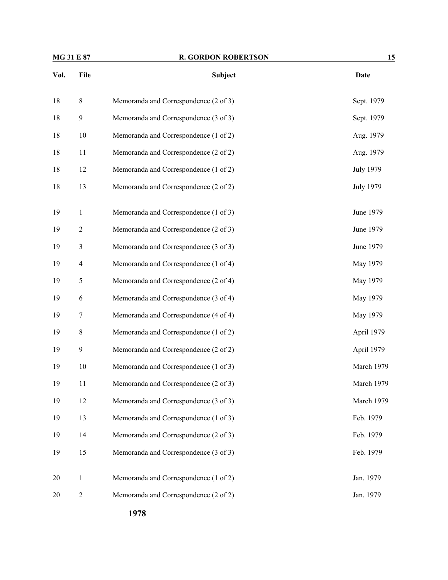| <b>MG 31 E 87</b> |                | <b>R. GORDON ROBERTSON</b>            | 15               |  |
|-------------------|----------------|---------------------------------------|------------------|--|
| Vol.              | File           | Subject                               | <b>Date</b>      |  |
| 18                | $\,8\,$        | Memoranda and Correspondence (2 of 3) | Sept. 1979       |  |
| 18                | $\mathbf{9}$   | Memoranda and Correspondence (3 of 3) | Sept. 1979       |  |
| 18                | 10             | Memoranda and Correspondence (1 of 2) | Aug. 1979        |  |
| 18                | 11             | Memoranda and Correspondence (2 of 2) | Aug. 1979        |  |
| 18                | 12             | Memoranda and Correspondence (1 of 2) | <b>July 1979</b> |  |
| 18                | 13             | Memoranda and Correspondence (2 of 2) | <b>July 1979</b> |  |
| 19                | $\mathbf{1}$   | Memoranda and Correspondence (1 of 3) | June 1979        |  |
| 19                | $\overline{2}$ | Memoranda and Correspondence (2 of 3) | June 1979        |  |
| 19                | 3              | Memoranda and Correspondence (3 of 3) | June 1979        |  |
| 19                | $\overline{4}$ | Memoranda and Correspondence (1 of 4) | May 1979         |  |
| 19                | $\mathfrak s$  | Memoranda and Correspondence (2 of 4) | May 1979         |  |
| 19                | 6              | Memoranda and Correspondence (3 of 4) | May 1979         |  |
| 19                | $\tau$         | Memoranda and Correspondence (4 of 4) | May 1979         |  |
| 19                | $\,8\,$        | Memoranda and Correspondence (1 of 2) | April 1979       |  |
| 19                | 9              | Memoranda and Correspondence (2 of 2) | April 1979       |  |
| 19                | 10             | Memoranda and Correspondence (1 of 3) | March 1979       |  |
| 19                | 11             | Memoranda and Correspondence (2 of 3) | March 1979       |  |
| 19                | 12             | Memoranda and Correspondence (3 of 3) | March 1979       |  |
| 19                | 13             | Memoranda and Correspondence (1 of 3) | Feb. 1979        |  |
| 19                | 14             | Memoranda and Correspondence (2 of 3) | Feb. 1979        |  |
| 19                | 15             | Memoranda and Correspondence (3 of 3) | Feb. 1979        |  |
| 20                | $\mathbf{1}$   | Memoranda and Correspondence (1 of 2) | Jan. 1979        |  |
| 20                | $\overline{2}$ | Memoranda and Correspondence (2 of 2) | Jan. 1979        |  |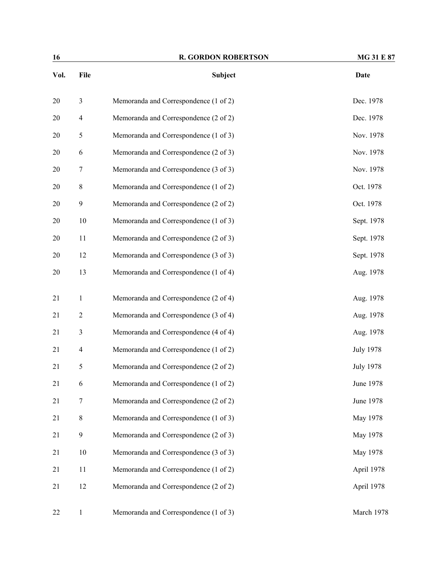| 16   |                  | <b>R. GORDON ROBERTSON</b>            | MG 31 E 87       |
|------|------------------|---------------------------------------|------------------|
| Vol. | File             | Subject                               | <b>Date</b>      |
| 20   | $\mathfrak{Z}$   | Memoranda and Correspondence (1 of 2) | Dec. 1978        |
| 20   | $\overline{4}$   | Memoranda and Correspondence (2 of 2) | Dec. 1978        |
| 20   | $\mathfrak s$    | Memoranda and Correspondence (1 of 3) | Nov. 1978        |
| 20   | 6                | Memoranda and Correspondence (2 of 3) | Nov. 1978        |
| 20   | 7                | Memoranda and Correspondence (3 of 3) | Nov. 1978        |
| 20   | 8                | Memoranda and Correspondence (1 of 2) | Oct. 1978        |
| 20   | $\boldsymbol{9}$ | Memoranda and Correspondence (2 of 2) | Oct. 1978        |
| 20   | 10               | Memoranda and Correspondence (1 of 3) | Sept. 1978       |
| 20   | 11               | Memoranda and Correspondence (2 of 3) | Sept. 1978       |
| 20   | 12               | Memoranda and Correspondence (3 of 3) | Sept. 1978       |
| 20   | 13               | Memoranda and Correspondence (1 of 4) | Aug. 1978        |
| 21   | $\mathbf{1}$     | Memoranda and Correspondence (2 of 4) | Aug. 1978        |
| 21   | $\overline{2}$   | Memoranda and Correspondence (3 of 4) | Aug. 1978        |
| 21   | $\mathfrak{Z}$   | Memoranda and Correspondence (4 of 4) | Aug. 1978        |
| 21   | $\overline{4}$   | Memoranda and Correspondence (1 of 2) | <b>July 1978</b> |
| 21   | 5                | Memoranda and Correspondence (2 of 2) | <b>July 1978</b> |
| 21   | 6                | Memoranda and Correspondence (1 of 2) | June 1978        |
| 21   | $\tau$           | Memoranda and Correspondence (2 of 2) | June 1978        |
| 21   | $\,$ 8 $\,$      | Memoranda and Correspondence (1 of 3) | May 1978         |
| 21   | $\boldsymbol{9}$ | Memoranda and Correspondence (2 of 3) | May 1978         |
| 21   | 10               | Memoranda and Correspondence (3 of 3) | May 1978         |
| 21   | 11               | Memoranda and Correspondence (1 of 2) | April 1978       |
| 21   | 12               | Memoranda and Correspondence (2 of 2) | April 1978       |
| 22   | $\mathbf{1}$     | Memoranda and Correspondence (1 of 3) | March 1978       |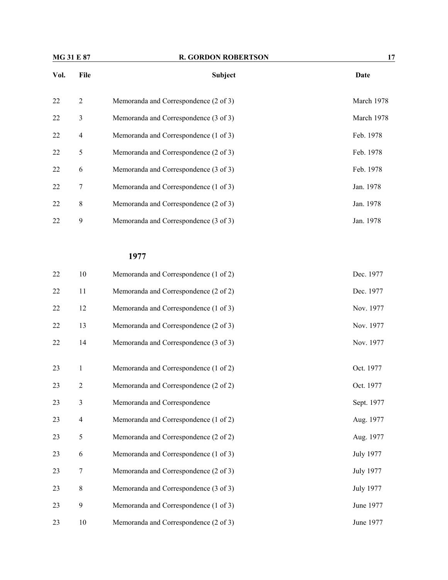| <b>MG 31 E 87</b> |                | <b>R. GORDON ROBERTSON</b>            | 17         |  |
|-------------------|----------------|---------------------------------------|------------|--|
| Vol.              | File           | <b>Subject</b>                        | Date       |  |
| 22                | $\overline{2}$ | Memoranda and Correspondence (2 of 3) | March 1978 |  |
| 22                | 3              | Memoranda and Correspondence (3 of 3) | March 1978 |  |
| 22                | $\overline{4}$ | Memoranda and Correspondence (1 of 3) | Feb. 1978  |  |
| 22                | 5              | Memoranda and Correspondence (2 of 3) | Feb. 1978  |  |
| 22                | 6              | Memoranda and Correspondence (3 of 3) | Feb. 1978  |  |
| 22                | 7              | Memoranda and Correspondence (1 of 3) | Jan. 1978  |  |
| 22                | 8              | Memoranda and Correspondence (2 of 3) | Jan. 1978  |  |
| 22                | 9              | Memoranda and Correspondence (3 of 3) | Jan. 1978  |  |

| 22 | 10               | Memoranda and Correspondence (1 of 2) | Dec. 1977        |
|----|------------------|---------------------------------------|------------------|
| 22 | 11               | Memoranda and Correspondence (2 of 2) | Dec. 1977        |
| 22 | 12               | Memoranda and Correspondence (1 of 3) | Nov. 1977        |
| 22 | 13               | Memoranda and Correspondence (2 of 3) | Nov. 1977        |
| 22 | 14               | Memoranda and Correspondence (3 of 3) | Nov. 1977        |
| 23 | $\mathbf{1}$     | Memoranda and Correspondence (1 of 2) | Oct. 1977        |
| 23 | $\sqrt{2}$       | Memoranda and Correspondence (2 of 2) | Oct. 1977        |
| 23 | $\mathfrak{Z}$   | Memoranda and Correspondence          | Sept. 1977       |
| 23 | $\overline{4}$   | Memoranda and Correspondence (1 of 2) | Aug. 1977        |
| 23 | 5                | Memoranda and Correspondence (2 of 2) | Aug. 1977        |
| 23 | 6                | Memoranda and Correspondence (1 of 3) | July 1977        |
| 23 | $\boldsymbol{7}$ | Memoranda and Correspondence (2 of 3) | July 1977        |
| 23 | $\,8\,$          | Memoranda and Correspondence (3 of 3) | <b>July 1977</b> |
| 23 | 9                | Memoranda and Correspondence (1 of 3) | June 1977        |
| 23 | 10               | Memoranda and Correspondence (2 of 3) | June 1977        |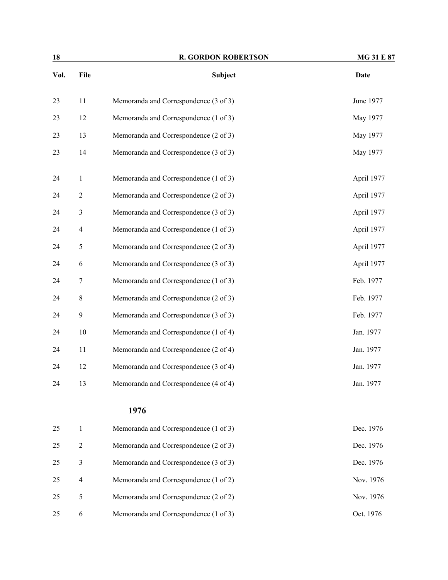| 18   | <b>R. GORDON ROBERTSON</b> |                                       | <b>MG 31 E 87</b> |  |
|------|----------------------------|---------------------------------------|-------------------|--|
| Vol. | File                       | Subject                               | <b>Date</b>       |  |
| 23   | 11                         | Memoranda and Correspondence (3 of 3) | June 1977         |  |
| 23   | 12                         | Memoranda and Correspondence (1 of 3) | May 1977          |  |
| 23   | 13                         | Memoranda and Correspondence (2 of 3) | May 1977          |  |
| 23   | 14                         | Memoranda and Correspondence (3 of 3) | May 1977          |  |
| 24   | $\mathbf{1}$               | Memoranda and Correspondence (1 of 3) | April 1977        |  |
| 24   | $\overline{2}$             | Memoranda and Correspondence (2 of 3) | April 1977        |  |
| 24   | $\mathfrak{Z}$             | Memoranda and Correspondence (3 of 3) | April 1977        |  |
| 24   | $\overline{4}$             | Memoranda and Correspondence (1 of 3) | April 1977        |  |
| 24   | $\mathfrak s$              | Memoranda and Correspondence (2 of 3) | April 1977        |  |
| 24   | 6                          | Memoranda and Correspondence (3 of 3) | April 1977        |  |
| 24   | $\tau$                     | Memoranda and Correspondence (1 of 3) | Feb. 1977         |  |
| 24   | $\,8\,$                    | Memoranda and Correspondence (2 of 3) | Feb. 1977         |  |
| 24   | 9                          | Memoranda and Correspondence (3 of 3) | Feb. 1977         |  |
| 24   | $10\,$                     | Memoranda and Correspondence (1 of 4) | Jan. 1977         |  |
| 24   | 11                         | Memoranda and Correspondence (2 of 4) | Jan. 1977         |  |
| 24   | 12                         | Memoranda and Correspondence (3 of 4) | Jan. 1977         |  |
| 24   | 13                         | Memoranda and Correspondence (4 of 4) | Jan. 1977         |  |
|      |                            | 1976                                  |                   |  |
| 25   | $\mathbf{1}$               | Memoranda and Correspondence (1 of 3) | Dec. 1976         |  |
| 25   | $\overline{2}$             | Memoranda and Correspondence (2 of 3) | Dec. 1976         |  |
| 25   | $\mathfrak{Z}$             | Memoranda and Correspondence (3 of 3) | Dec. 1976         |  |
| 25   | $\overline{4}$             | Memoranda and Correspondence (1 of 2) | Nov. 1976         |  |
| 25   | $\mathfrak s$              | Memoranda and Correspondence (2 of 2) | Nov. 1976         |  |

25 6 Memoranda and Correspondence (1 of 3) Oct. 1976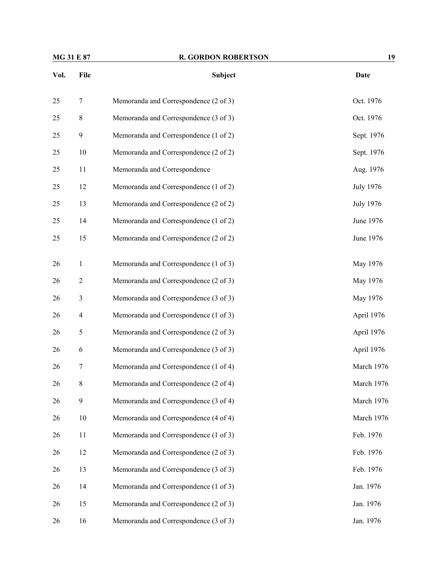| MG 31 E 87 |                | <b>R. GORDON ROBERTSON</b>            | 19               |  |
|------------|----------------|---------------------------------------|------------------|--|
| Vol.       | File           | Subject                               | <b>Date</b>      |  |
| 25         | $\tau$         | Memoranda and Correspondence (2 of 3) | Oct. 1976        |  |
| 25         | $\,$ 8 $\,$    | Memoranda and Correspondence (3 of 3) | Oct. 1976        |  |
| 25         | 9              | Memoranda and Correspondence (1 of 2) | Sept. 1976       |  |
| 25         | 10             | Memoranda and Correspondence (2 of 2) | Sept. 1976       |  |
| 25         | 11             | Memoranda and Correspondence          | Aug. 1976        |  |
| 25         | 12             | Memoranda and Correspondence (1 of 2) | <b>July 1976</b> |  |
| 25         | 13             | Memoranda and Correspondence (2 of 2) | <b>July 1976</b> |  |
| 25         | 14             | Memoranda and Correspondence (1 of 2) | June 1976        |  |
| 25         | 15             | Memoranda and Correspondence (2 of 2) | June 1976        |  |
| 26         | $\mathbf{1}$   | Memoranda and Correspondence (1 of 3) | May 1976         |  |
| 26         | $\overline{c}$ | Memoranda and Correspondence (2 of 3) | May 1976         |  |
| 26         | 3              | Memoranda and Correspondence (3 of 3) | May 1976         |  |
| 26         | $\overline{4}$ | Memoranda and Correspondence (1 of 3) | April 1976       |  |
| 26         | 5              | Memoranda and Correspondence (2 of 3) | April 1976       |  |
| 26         | 6              | Memoranda and Correspondence (3 of 3) | April 1976       |  |
| 26         | 7              | Memoranda and Correspondence (1 of 4) | March 1976       |  |
| 26         | $8\,$          | Memoranda and Correspondence (2 of 4) | March 1976       |  |
| 26         | 9              | Memoranda and Correspondence (3 of 4) | March 1976       |  |
| 26         | 10             | Memoranda and Correspondence (4 of 4) | March 1976       |  |
| 26         | 11             | Memoranda and Correspondence (1 of 3) | Feb. 1976        |  |
| 26         | 12             | Memoranda and Correspondence (2 of 3) | Feb. 1976        |  |
| 26         | 13             | Memoranda and Correspondence (3 of 3) | Feb. 1976        |  |
| 26         | 14             | Memoranda and Correspondence (1 of 3) | Jan. 1976        |  |
| 26         | 15             | Memoranda and Correspondence (2 of 3) | Jan. 1976        |  |
| 26         | 16             | Memoranda and Correspondence (3 of 3) | Jan. 1976        |  |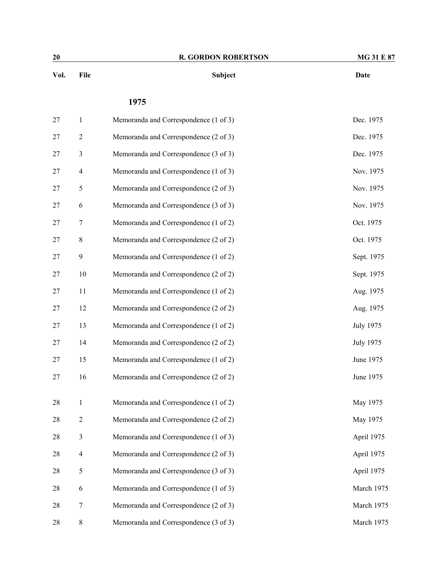| 20   |                  | <b>R. GORDON ROBERTSON</b>            | MG 31 E 87       |
|------|------------------|---------------------------------------|------------------|
| Vol. | File             | Subject                               | Date             |
|      |                  | 1975                                  |                  |
| 27   | $\mathbf{1}$     | Memoranda and Correspondence (1 of 3) | Dec. 1975        |
| 27   | $\overline{c}$   | Memoranda and Correspondence (2 of 3) | Dec. 1975        |
| 27   | 3                | Memoranda and Correspondence (3 of 3) | Dec. 1975        |
| 27   | $\overline{4}$   | Memoranda and Correspondence (1 of 3) | Nov. 1975        |
| 27   | 5                | Memoranda and Correspondence (2 of 3) | Nov. 1975        |
| 27   | $\epsilon$       | Memoranda and Correspondence (3 of 3) | Nov. 1975        |
| 27   | 7                | Memoranda and Correspondence (1 of 2) | Oct. 1975        |
| 27   | $\,$ 8 $\,$      | Memoranda and Correspondence (2 of 2) | Oct. 1975        |
| 27   | 9                | Memoranda and Correspondence (1 of 2) | Sept. 1975       |
| 27   | 10               | Memoranda and Correspondence (2 of 2) | Sept. 1975       |
| 27   | 11               | Memoranda and Correspondence (1 of 2) | Aug. 1975        |
| 27   | 12               | Memoranda and Correspondence (2 of 2) | Aug. 1975        |
| 27   | 13               | Memoranda and Correspondence (1 of 2) | <b>July 1975</b> |
| 27   | 14               | Memoranda and Correspondence (2 of 2) | <b>July 1975</b> |
| 27   | 15               | Memoranda and Correspondence (1 of 2) | June 1975        |
| 27   | 16               | Memoranda and Correspondence (2 of 2) | June 1975        |
| 28   | $\mathbf{1}$     | Memoranda and Correspondence (1 of 2) | May 1975         |
| 28   | $\boldsymbol{2}$ | Memoranda and Correspondence (2 of 2) | May 1975         |
| 28   | 3                | Memoranda and Correspondence (1 of 3) | April 1975       |
| 28   | $\overline{4}$   | Memoranda and Correspondence (2 of 3) | April 1975       |
| 28   | 5                | Memoranda and Correspondence (3 of 3) | April 1975       |
| 28   | 6                | Memoranda and Correspondence (1 of 3) | March 1975       |
| 28   | 7                | Memoranda and Correspondence (2 of 3) | March 1975       |
| 28   | $\,$ $\,$        | Memoranda and Correspondence (3 of 3) | March 1975       |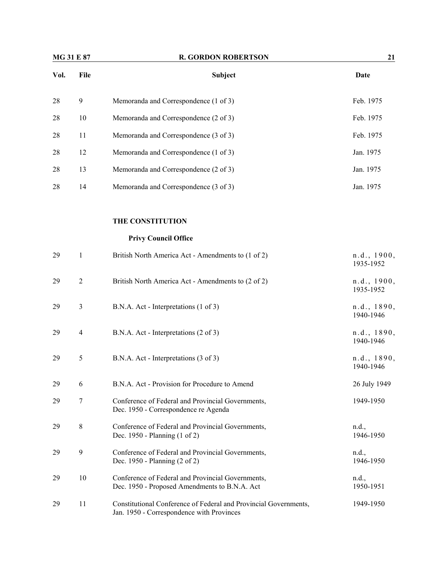| <b>MG 31 E 87</b> |                  | <b>R. GORDON ROBERTSON</b>                                                                                    | 21                       |  |
|-------------------|------------------|---------------------------------------------------------------------------------------------------------------|--------------------------|--|
| Vol.              | File             | Subject                                                                                                       | <b>Date</b>              |  |
| 28                | $\overline{9}$   | Memoranda and Correspondence (1 of 3)                                                                         | Feb. 1975                |  |
| 28                | 10               | Memoranda and Correspondence (2 of 3)                                                                         | Feb. 1975                |  |
| 28                | 11               | Memoranda and Correspondence (3 of 3)                                                                         | Feb. 1975                |  |
| 28                | 12               | Memoranda and Correspondence (1 of 3)                                                                         | Jan. 1975                |  |
| 28                | 13               | Memoranda and Correspondence (2 of 3)                                                                         | Jan. 1975                |  |
| 28                | 14               | Memoranda and Correspondence (3 of 3)                                                                         | Jan. 1975                |  |
|                   |                  | THE CONSTITUTION                                                                                              |                          |  |
|                   |                  | <b>Privy Council Office</b>                                                                                   |                          |  |
| 29                | $\mathbf{1}$     | British North America Act - Amendments to (1 of 2)                                                            | n.d., 1900,<br>1935-1952 |  |
| 29                | $\overline{2}$   | British North America Act - Amendments to (2 of 2)                                                            | n.d., 1900,<br>1935-1952 |  |
| 29                | 3                | B.N.A. Act - Interpretations (1 of 3)                                                                         | n.d., 1890,<br>1940-1946 |  |
| 29                | $\overline{4}$   | B.N.A. Act - Interpretations (2 of 3)                                                                         | n.d., 1890,<br>1940-1946 |  |
| 29                | 5                | B.N.A. Act - Interpretations (3 of 3)                                                                         | n.d., 1890,<br>1940-1946 |  |
| 29                | 6                | B.N.A. Act - Provision for Procedure to Amend                                                                 | 26 July 1949             |  |
| 29                | $\boldsymbol{7}$ | Conference of Federal and Provincial Governments,<br>Dec. 1950 - Correspondence re Agenda                     | 1949-1950                |  |
| 29                | $8\,$            | Conference of Federal and Provincial Governments,<br>Dec. 1950 - Planning (1 of 2)                            | n.d.,<br>1946-1950       |  |
| 29                | 9                | Conference of Federal and Provincial Governments,<br>Dec. 1950 - Planning (2 of 2)                            | n.d.,<br>1946-1950       |  |
| 29                | 10               | Conference of Federal and Provincial Governments,<br>Dec. 1950 - Proposed Amendments to B.N.A. Act            | n.d.,<br>1950-1951       |  |
| 29                | 11               | Constitutional Conference of Federal and Provincial Governments,<br>Jan. 1950 - Correspondence with Provinces | 1949-1950                |  |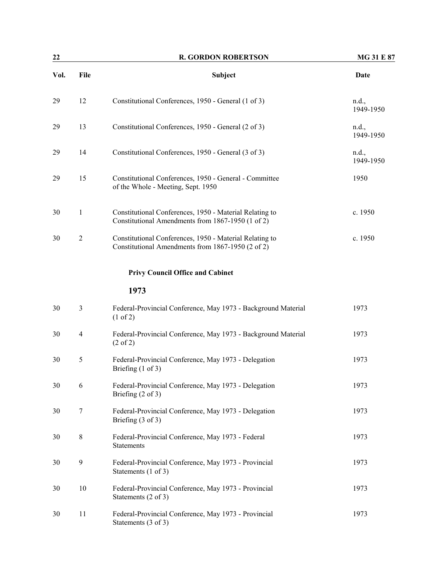| 22<br><b>R. GORDON ROBERTSON</b> |                |                                                                                                              | <b>MG 31 E 87</b>  |
|----------------------------------|----------------|--------------------------------------------------------------------------------------------------------------|--------------------|
| Vol.                             | File           | Subject                                                                                                      | <b>Date</b>        |
| 29                               | 12             | Constitutional Conferences, 1950 - General (1 of 3)                                                          | n.d.,<br>1949-1950 |
| 29                               | 13             | Constitutional Conferences, 1950 - General (2 of 3)                                                          | n.d.,<br>1949-1950 |
| 29                               | 14             | Constitutional Conferences, 1950 - General (3 of 3)                                                          | n.d.,<br>1949-1950 |
| 29                               | 15             | Constitutional Conferences, 1950 - General - Committee<br>of the Whole - Meeting, Sept. 1950                 | 1950               |
| 30                               | $\mathbf{1}$   | Constitutional Conferences, 1950 - Material Relating to<br>Constitutional Amendments from 1867-1950 (1 of 2) | c. 1950            |
| 30                               | $\overline{2}$ | Constitutional Conferences, 1950 - Material Relating to<br>Constitutional Amendments from 1867-1950 (2 of 2) | c. 1950            |
|                                  |                | <b>Privy Council Office and Cabinet</b>                                                                      |                    |
|                                  |                | 1973                                                                                                         |                    |
| 30                               | 3              | Federal-Provincial Conference, May 1973 - Background Material<br>$(1 \text{ of } 2)$                         | 1973               |
| 30                               | 4              | Federal-Provincial Conference, May 1973 - Background Material<br>$(2 \text{ of } 2)$                         | 1973               |
| 30                               | 5              | Federal-Provincial Conference, May 1973 - Delegation<br>Briefing $(1 \text{ of } 3)$                         | 1973               |
| 30                               | 6              | Federal-Provincial Conference, May 1973 - Delegation<br>Briefing $(2 \text{ of } 3)$                         | 1973               |
| 30                               | $\tau$         | Federal-Provincial Conference, May 1973 - Delegation<br>Briefing $(3 \text{ of } 3)$                         | 1973               |
| 30                               | $8\,$          | Federal-Provincial Conference, May 1973 - Federal<br><b>Statements</b>                                       | 1973               |
| 30                               | 9              | Federal-Provincial Conference, May 1973 - Provincial<br>Statements (1 of 3)                                  | 1973               |
| 30                               | 10             | Federal-Provincial Conference, May 1973 - Provincial<br>Statements (2 of 3)                                  | 1973               |
| 30                               | 11             | Federal-Provincial Conference, May 1973 - Provincial<br>Statements (3 of 3)                                  | 1973               |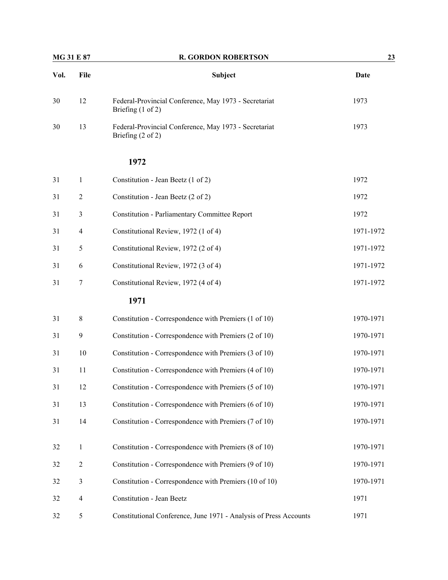| <b>MG 31 E 87</b> |                | <b>R. GORDON ROBERTSON</b>                                                            | 23          |  |
|-------------------|----------------|---------------------------------------------------------------------------------------|-------------|--|
| Vol.              | File           | <b>Subject</b>                                                                        | <b>Date</b> |  |
| 30                | 12             | Federal-Provincial Conference, May 1973 - Secretariat<br>Briefing $(1 \text{ of } 2)$ | 1973        |  |
| 30                | 13             | Federal-Provincial Conference, May 1973 - Secretariat<br>Briefing $(2 \text{ of } 2)$ | 1973        |  |
|                   |                | 1972                                                                                  |             |  |
| 31                | 1              | Constitution - Jean Beetz (1 of 2)                                                    | 1972        |  |
| 31                | $\overline{c}$ | Constitution - Jean Beetz (2 of 2)                                                    | 1972        |  |
| 31                | 3              | <b>Constitution - Parliamentary Committee Report</b>                                  | 1972        |  |
| 31                | 4              | Constitutional Review, 1972 (1 of 4)                                                  | 1971-1972   |  |
| 31                | 5              | Constitutional Review, 1972 (2 of 4)                                                  | 1971-1972   |  |
| 31                | 6              | Constitutional Review, 1972 (3 of 4)                                                  | 1971-1972   |  |
| 31                | 7              | Constitutional Review, 1972 (4 of 4)                                                  | 1971-1972   |  |
|                   |                | 1971                                                                                  |             |  |
| 31                | $\,$ 8 $\,$    | Constitution - Correspondence with Premiers (1 of 10)                                 | 1970-1971   |  |
| 31                | 9              | Constitution - Correspondence with Premiers (2 of 10)                                 | 1970-1971   |  |
| 31                | 10             | Constitution - Correspondence with Premiers (3 of 10)                                 | 1970-1971   |  |
| 31                | 11             | Constitution - Correspondence with Premiers (4 of 10)                                 | 1970-1971   |  |
| 31                | 12             | Constitution - Correspondence with Premiers (5 of 10)                                 | 1970-1971   |  |
| 31                | 13             | Constitution - Correspondence with Premiers (6 of 10)                                 | 1970-1971   |  |
| 31                | 14             | Constitution - Correspondence with Premiers (7 of 10)                                 | 1970-1971   |  |
| 32                | $\mathbf{1}$   | Constitution - Correspondence with Premiers (8 of 10)                                 | 1970-1971   |  |
| 32                | $\mathbf{2}$   | Constitution - Correspondence with Premiers (9 of 10)                                 | 1970-1971   |  |
| 32                | $\mathfrak{Z}$ | Constitution - Correspondence with Premiers (10 of 10)                                | 1970-1971   |  |
| 32                | $\overline{4}$ | Constitution - Jean Beetz                                                             | 1971        |  |
| 32                | 5              | Constitutional Conference, June 1971 - Analysis of Press Accounts                     | 1971        |  |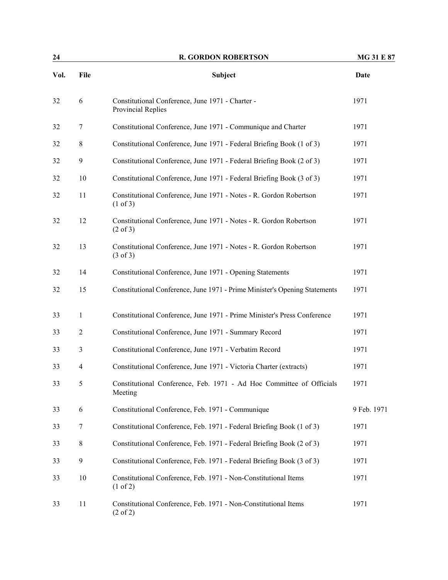| 24   |                  | <b>R. GORDON ROBERTSON</b>                                                                | <b>MG 31 E 87</b> |
|------|------------------|-------------------------------------------------------------------------------------------|-------------------|
| Vol. | File             | Subject                                                                                   | <b>Date</b>       |
| 32   | 6                | Constitutional Conference, June 1971 - Charter -<br>Provincial Replies                    | 1971              |
| 32   | 7                | Constitutional Conference, June 1971 - Communique and Charter                             | 1971              |
| 32   | 8                | Constitutional Conference, June 1971 - Federal Briefing Book (1 of 3)                     | 1971              |
| 32   | $\boldsymbol{9}$ | Constitutional Conference, June 1971 - Federal Briefing Book (2 of 3)                     | 1971              |
| 32   | 10               | Constitutional Conference, June 1971 - Federal Briefing Book (3 of 3)                     | 1971              |
| 32   | 11               | Constitutional Conference, June 1971 - Notes - R. Gordon Robertson<br>(1 of 3)            | 1971              |
| 32   | 12               | Constitutional Conference, June 1971 - Notes - R. Gordon Robertson<br>$(2 \text{ of } 3)$ | 1971              |
| 32   | 13               | Constitutional Conference, June 1971 - Notes - R. Gordon Robertson<br>$(3 \text{ of } 3)$ | 1971              |
| 32   | 14               | Constitutional Conference, June 1971 - Opening Statements                                 | 1971              |
| 32   | 15               | Constitutional Conference, June 1971 - Prime Minister's Opening Statements                | 1971              |
| 33   | 1                | Constitutional Conference, June 1971 - Prime Minister's Press Conference                  | 1971              |
| 33   | 2                | Constitutional Conference, June 1971 - Summary Record                                     | 1971              |
| 33   | 3                | Constitutional Conference, June 1971 - Verbatim Record                                    | 1971              |
| 33   | 4                | Constitutional Conference, June 1971 - Victoria Charter (extracts)                        | 1971              |
| 33   | 5                | Constitutional Conference, Feb. 1971 - Ad Hoc Committee of Officials<br>Meeting           | 1971              |
| 33   | 6                | Constitutional Conference, Feb. 1971 - Communique                                         | 9 Feb. 1971       |
| 33   | 7                | Constitutional Conference, Feb. 1971 - Federal Briefing Book (1 of 3)                     | 1971              |
| 33   | 8                | Constitutional Conference, Feb. 1971 - Federal Briefing Book (2 of 3)                     | 1971              |
| 33   | $\boldsymbol{9}$ | Constitutional Conference, Feb. 1971 - Federal Briefing Book (3 of 3)                     | 1971              |
| 33   | $10\,$           | Constitutional Conference, Feb. 1971 - Non-Constitutional Items<br>$(1 \text{ of } 2)$    | 1971              |
| 33   | 11               | Constitutional Conference, Feb. 1971 - Non-Constitutional Items<br>$(2 \text{ of } 2)$    | 1971              |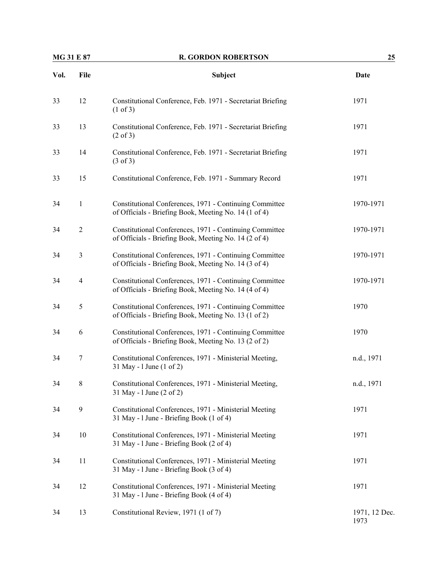| <b>MG 31 E 87</b> |                | <b>R. GORDON ROBERTSON</b>                                                                                       | 25                    |  |
|-------------------|----------------|------------------------------------------------------------------------------------------------------------------|-----------------------|--|
| Vol.              | File           | Subject                                                                                                          | <b>Date</b>           |  |
| 33                | 12             | Constitutional Conference, Feb. 1971 - Secretariat Briefing<br>(1 of 3)                                          | 1971                  |  |
| 33                | 13             | Constitutional Conference, Feb. 1971 - Secretariat Briefing<br>$(2 \text{ of } 3)$                               | 1971                  |  |
| 33                | 14             | Constitutional Conference, Feb. 1971 - Secretariat Briefing<br>$(3 \text{ of } 3)$                               | 1971                  |  |
| 33                | 15             | Constitutional Conference, Feb. 1971 - Summary Record                                                            | 1971                  |  |
| 34                | $\mathbf{1}$   | Constitutional Conferences, 1971 - Continuing Committee<br>of Officials - Briefing Book, Meeting No. 14 (1 of 4) | 1970-1971             |  |
| 34                | $\overline{2}$ | Constitutional Conferences, 1971 - Continuing Committee<br>of Officials - Briefing Book, Meeting No. 14 (2 of 4) | 1970-1971             |  |
| 34                | 3              | Constitutional Conferences, 1971 - Continuing Committee<br>of Officials - Briefing Book, Meeting No. 14 (3 of 4) | 1970-1971             |  |
| 34                | 4              | Constitutional Conferences, 1971 - Continuing Committee<br>of Officials - Briefing Book, Meeting No. 14 (4 of 4) | 1970-1971             |  |
| 34                | 5              | Constitutional Conferences, 1971 - Continuing Committee<br>of Officials - Briefing Book, Meeting No. 13 (1 of 2) | 1970                  |  |
| 34                | 6              | Constitutional Conferences, 1971 - Continuing Committee<br>of Officials - Briefing Book, Meeting No. 13 (2 of 2) | 1970                  |  |
| 34                | 7              | Constitutional Conferences, 1971 - Ministerial Meeting,<br>31 May - 1 June (1 of 2)                              | n.d., 1971            |  |
| 34                | 8              | Constitutional Conferences, 1971 - Ministerial Meeting,<br>31 May - 1 June (2 of 2)                              | n.d., 1971            |  |
| 34                | 9              | Constitutional Conferences, 1971 - Ministerial Meeting<br>31 May - 1 June - Briefing Book (1 of 4)               | 1971                  |  |
| 34                | $10\,$         | Constitutional Conferences, 1971 - Ministerial Meeting<br>31 May - 1 June - Briefing Book (2 of 4)               | 1971                  |  |
| 34                | 11             | Constitutional Conferences, 1971 - Ministerial Meeting<br>31 May - 1 June - Briefing Book (3 of 4)               | 1971                  |  |
| 34                | 12             | Constitutional Conferences, 1971 - Ministerial Meeting<br>31 May - 1 June - Briefing Book (4 of 4)               | 1971                  |  |
| 34                | 13             | Constitutional Review, 1971 (1 of 7)                                                                             | 1971, 12 Dec.<br>1973 |  |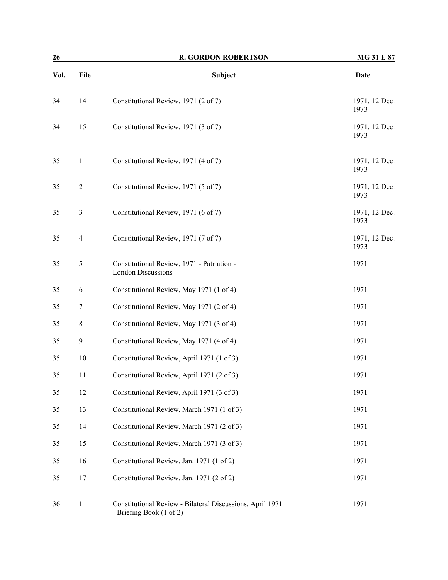| 26   |                  | <b>R. GORDON ROBERTSON</b>                                                            | MG 31 E 87            |  |
|------|------------------|---------------------------------------------------------------------------------------|-----------------------|--|
| Vol. | File             | <b>Subject</b>                                                                        | Date                  |  |
| 34   | 14               | Constitutional Review, 1971 (2 of 7)                                                  | 1971, 12 Dec.<br>1973 |  |
| 34   | 15               | Constitutional Review, 1971 (3 of 7)                                                  | 1971, 12 Dec.<br>1973 |  |
| 35   | $\mathbf{1}$     | Constitutional Review, 1971 (4 of 7)                                                  | 1971, 12 Dec.<br>1973 |  |
| 35   | $\overline{2}$   | Constitutional Review, 1971 (5 of 7)                                                  | 1971, 12 Dec.<br>1973 |  |
| 35   | $\mathfrak{Z}$   | Constitutional Review, 1971 (6 of 7)                                                  | 1971, 12 Dec.<br>1973 |  |
| 35   | 4                | Constitutional Review, 1971 (7 of 7)                                                  | 1971, 12 Dec.<br>1973 |  |
| 35   | $\mathfrak s$    | Constitutional Review, 1971 - Patriation -<br><b>London Discussions</b>               | 1971                  |  |
| 35   | 6                | Constitutional Review, May 1971 (1 of 4)                                              | 1971                  |  |
| 35   | 7                | Constitutional Review, May 1971 (2 of 4)                                              | 1971                  |  |
| 35   | 8                | Constitutional Review, May 1971 (3 of 4)                                              | 1971                  |  |
| 35   | $\boldsymbol{9}$ | Constitutional Review, May 1971 (4 of 4)                                              | 1971                  |  |
| 35   | 10               | Constitutional Review, April 1971 (1 of 3)                                            | 1971                  |  |
| 35   | 11               | Constitutional Review, April 1971 (2 of 3)                                            | 1971                  |  |
| 35   | 12               | Constitutional Review, April 1971 (3 of 3)                                            | 1971                  |  |
| 35   | 13               | Constitutional Review, March 1971 (1 of 3)                                            | 1971                  |  |
| 35   | 14               | Constitutional Review, March 1971 (2 of 3)                                            | 1971                  |  |
| 35   | 15               | Constitutional Review, March 1971 (3 of 3)                                            | 1971                  |  |
| 35   | 16               | Constitutional Review, Jan. 1971 (1 of 2)                                             | 1971                  |  |
| 35   | 17               | Constitutional Review, Jan. 1971 (2 of 2)                                             | 1971                  |  |
| 36   | $\mathbf{1}$     | Constitutional Review - Bilateral Discussions, April 1971<br>- Briefing Book (1 of 2) | 1971                  |  |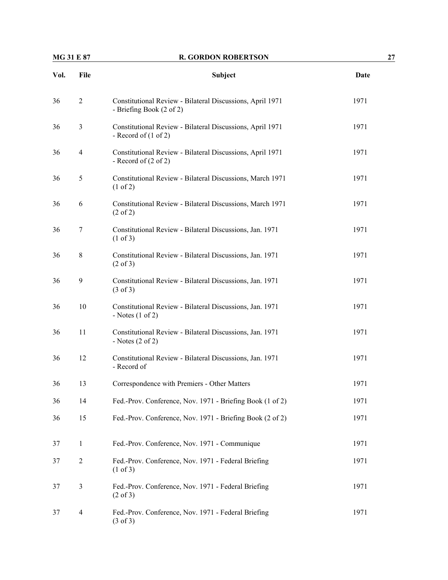| <b>MG 31 E 87</b> |  |  |
|-------------------|--|--|
|-------------------|--|--|

# **MG 31 B 31 E 87 R. GORDON ROBERTSON 327**

| Vol. | File           | Subject                                                                                      | Date |
|------|----------------|----------------------------------------------------------------------------------------------|------|
| 36   | 2              | Constitutional Review - Bilateral Discussions, April 1971<br>- Briefing Book (2 of 2)        | 1971 |
| 36   | 3              | Constitutional Review - Bilateral Discussions, April 1971<br>- Record of $(1 \text{ of } 2)$ | 1971 |
| 36   | $\overline{4}$ | Constitutional Review - Bilateral Discussions, April 1971<br>- Record of $(2 \text{ of } 2)$ | 1971 |
| 36   | 5              | Constitutional Review - Bilateral Discussions, March 1971<br>(1 of 2)                        | 1971 |
| 36   | 6              | Constitutional Review - Bilateral Discussions, March 1971<br>$(2 \text{ of } 2)$             | 1971 |
| 36   | 7              | Constitutional Review - Bilateral Discussions, Jan. 1971<br>$(1 \text{ of } 3)$              | 1971 |
| 36   | 8              | Constitutional Review - Bilateral Discussions, Jan. 1971<br>$(2 \text{ of } 3)$              | 1971 |
| 36   | 9              | Constitutional Review - Bilateral Discussions, Jan. 1971<br>$(3 \text{ of } 3)$              | 1971 |
| 36   | 10             | Constitutional Review - Bilateral Discussions, Jan. 1971<br>- Notes $(1 \text{ of } 2)$      | 1971 |
| 36   | 11             | Constitutional Review - Bilateral Discussions, Jan. 1971<br>- Notes $(2 \text{ of } 2)$      | 1971 |
| 36   | 12             | Constitutional Review - Bilateral Discussions, Jan. 1971<br>- Record of                      | 1971 |
| 36   | 13             | Correspondence with Premiers - Other Matters                                                 | 1971 |
| 36   | 14             | Fed.-Prov. Conference, Nov. 1971 - Briefing Book (1 of 2)                                    | 1971 |
| 36   | 15             | Fed.-Prov. Conference, Nov. 1971 - Briefing Book (2 of 2)                                    | 1971 |
| 37   | $\mathbf{1}$   | Fed.-Prov. Conference, Nov. 1971 - Communique                                                | 1971 |
| 37   | $\overline{2}$ | Fed.-Prov. Conference, Nov. 1971 - Federal Briefing<br>$(1 \text{ of } 3)$                   | 1971 |
| 37   | 3              | Fed.-Prov. Conference, Nov. 1971 - Federal Briefing<br>$(2 \text{ of } 3)$                   | 1971 |
| 37   | $\overline{4}$ | Fed.-Prov. Conference, Nov. 1971 - Federal Briefing<br>$(3 \text{ of } 3)$                   | 1971 |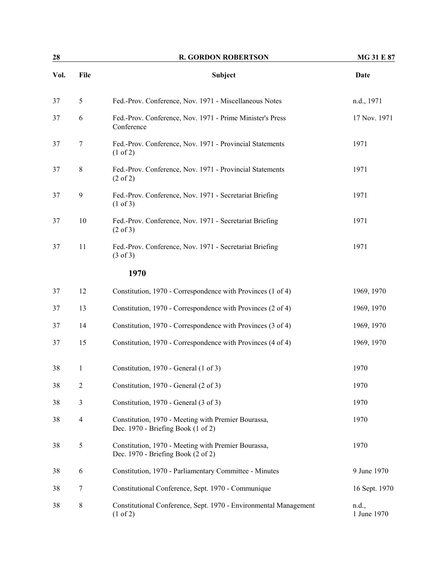| 28<br><b>R. GORDON ROBERTSON</b> |                |                                                                                           | MG 31 E 87           |
|----------------------------------|----------------|-------------------------------------------------------------------------------------------|----------------------|
| Vol.                             | File           | Subject                                                                                   | Date                 |
| 37                               | 5              | Fed.-Prov. Conference, Nov. 1971 - Miscellaneous Notes                                    | n.d., 1971           |
| 37                               | 6              | Fed.-Prov. Conference, Nov. 1971 - Prime Minister's Press<br>Conference                   | 17 Nov. 1971         |
| 37                               | $\tau$         | Fed.-Prov. Conference, Nov. 1971 - Provincial Statements<br>$(1 \text{ of } 2)$           | 1971                 |
| 37                               | $\,8\,$        | Fed.-Prov. Conference, Nov. 1971 - Provincial Statements<br>$(2 \text{ of } 2)$           | 1971                 |
| 37                               | 9              | Fed.-Prov. Conference, Nov. 1971 - Secretariat Briefing<br>$(1 \text{ of } 3)$            | 1971                 |
| 37                               | 10             | Fed.-Prov. Conference, Nov. 1971 - Secretariat Briefing<br>$(2 \text{ of } 3)$            | 1971                 |
| 37                               | 11             | Fed.-Prov. Conference, Nov. 1971 - Secretariat Briefing<br>$(3 \text{ of } 3)$            | 1971                 |
|                                  |                | 1970                                                                                      |                      |
| 37                               | 12             | Constitution, 1970 - Correspondence with Provinces (1 of 4)                               | 1969, 1970           |
| 37                               | 13             | Constitution, 1970 - Correspondence with Provinces (2 of 4)                               | 1969, 1970           |
| 37                               | 14             | Constitution, 1970 - Correspondence with Provinces (3 of 4)                               | 1969, 1970           |
| 37                               | 15             | Constitution, 1970 - Correspondence with Provinces (4 of 4)                               | 1969, 1970           |
| 38                               | 1              | Constitution, 1970 - General (1 of 3)                                                     | 1970                 |
| 38                               | $\overline{2}$ | Constitution, 1970 - General (2 of 3)                                                     | 1970                 |
| 38                               | 3              | Constitution, 1970 - General (3 of 3)                                                     | 1970                 |
| 38                               | $\overline{4}$ | Constitution, 1970 - Meeting with Premier Bourassa,<br>Dec. 1970 - Briefing Book (1 of 2) | 1970                 |
| 38                               | 5              | Constitution, 1970 - Meeting with Premier Bourassa,<br>Dec. 1970 - Briefing Book (2 of 2) | 1970                 |
| 38                               | 6              | Constitution, 1970 - Parliamentary Committee - Minutes                                    | 9 June 1970          |
| 38                               | 7              | Constitutional Conference, Sept. 1970 - Communique                                        | 16 Sept. 1970        |
| 38                               | 8              | Constitutional Conference, Sept. 1970 - Environmental Management<br>(1 of 2)              | n.d.,<br>1 June 1970 |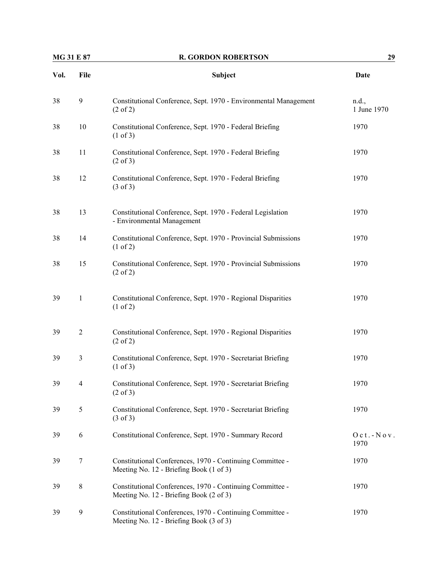| <b>MG 31 E 87</b> |                | <b>R. GORDON ROBERTSON</b>                                                                           | 29                   |  |
|-------------------|----------------|------------------------------------------------------------------------------------------------------|----------------------|--|
| Vol.              | File           | Subject                                                                                              | Date                 |  |
| 38                | 9              | Constitutional Conference, Sept. 1970 - Environmental Management<br>$(2 \text{ of } 2)$              | n.d.,<br>1 June 1970 |  |
| 38                | 10             | Constitutional Conference, Sept. 1970 - Federal Briefing<br>(1 of 3)                                 | 1970                 |  |
| 38                | 11             | Constitutional Conference, Sept. 1970 - Federal Briefing<br>$(2 \text{ of } 3)$                      | 1970                 |  |
| 38                | 12             | Constitutional Conference, Sept. 1970 - Federal Briefing<br>$(3 \text{ of } 3)$                      | 1970                 |  |
| 38                | 13             | Constitutional Conference, Sept. 1970 - Federal Legislation<br>- Environmental Management            | 1970                 |  |
| 38                | 14             | Constitutional Conference, Sept. 1970 - Provincial Submissions<br>$(1 \text{ of } 2)$                | 1970                 |  |
| 38                | 15             | Constitutional Conference, Sept. 1970 - Provincial Submissions<br>$(2 \text{ of } 2)$                | 1970                 |  |
| 39                | $\mathbf{1}$   | Constitutional Conference, Sept. 1970 - Regional Disparities<br>(1 of 2)                             | 1970                 |  |
| 39                | $\overline{2}$ | Constitutional Conference, Sept. 1970 - Regional Disparities<br>$(2 \text{ of } 2)$                  | 1970                 |  |
| 39                | $\mathfrak{Z}$ | Constitutional Conference, Sept. 1970 - Secretariat Briefing<br>(1 of 3)                             | 1970                 |  |
| 39                | 4              | Constitutional Conference, Sept. 1970 - Secretariat Briefing<br>$(2 \text{ of } 3)$                  | 1970                 |  |
| 39                | 5              | Constitutional Conference, Sept. 1970 - Secretariat Briefing<br>$(3 \text{ of } 3)$                  | 1970                 |  |
| 39                | 6              | Constitutional Conference, Sept. 1970 - Summary Record                                               | $Oct.-Nov.$<br>1970  |  |
| 39                | $\tau$         | Constitutional Conferences, 1970 - Continuing Committee -<br>Meeting No. 12 - Briefing Book (1 of 3) | 1970                 |  |
| 39                | 8              | Constitutional Conferences, 1970 - Continuing Committee -<br>Meeting No. 12 - Briefing Book (2 of 3) | 1970                 |  |
| 39                | 9              | Constitutional Conferences, 1970 - Continuing Committee -<br>Meeting No. 12 - Briefing Book (3 of 3) | 1970                 |  |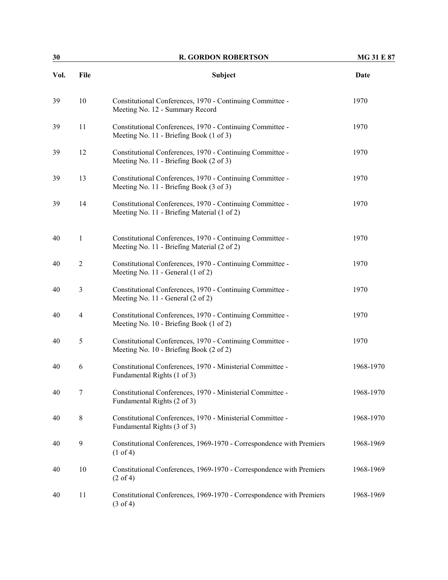| 30   |                | <b>R. GORDON ROBERTSON</b>                                                                               | <b>MG 31 E 87</b> |  |
|------|----------------|----------------------------------------------------------------------------------------------------------|-------------------|--|
| Vol. | File           | Subject                                                                                                  | <b>Date</b>       |  |
| 39   | $10\,$         | Constitutional Conferences, 1970 - Continuing Committee -<br>Meeting No. 12 - Summary Record             | 1970              |  |
| 39   | 11             | Constitutional Conferences, 1970 - Continuing Committee -<br>Meeting No. 11 - Briefing Book (1 of 3)     | 1970              |  |
| 39   | 12             | Constitutional Conferences, 1970 - Continuing Committee -<br>Meeting No. 11 - Briefing Book (2 of 3)     | 1970              |  |
| 39   | 13             | Constitutional Conferences, 1970 - Continuing Committee -<br>Meeting No. 11 - Briefing Book (3 of 3)     | 1970              |  |
| 39   | 14             | Constitutional Conferences, 1970 - Continuing Committee -<br>Meeting No. 11 - Briefing Material (1 of 2) | 1970              |  |
| 40   | 1              | Constitutional Conferences, 1970 - Continuing Committee -<br>Meeting No. 11 - Briefing Material (2 of 2) | 1970              |  |
| 40   | $\overline{2}$ | Constitutional Conferences, 1970 - Continuing Committee -<br>Meeting No. 11 - General (1 of 2)           | 1970              |  |
| 40   | 3              | Constitutional Conferences, 1970 - Continuing Committee -<br>Meeting No. 11 - General (2 of 2)           | 1970              |  |
| 40   | 4              | Constitutional Conferences, 1970 - Continuing Committee -<br>Meeting No. 10 - Briefing Book (1 of 2)     | 1970              |  |
| 40   | 5              | Constitutional Conferences, 1970 - Continuing Committee -<br>Meeting No. 10 - Briefing Book (2 of 2)     | 1970              |  |
| 40   | 6              | Constitutional Conferences, 1970 - Ministerial Committee -<br>Fundamental Rights (1 of 3)                | 1968-1970         |  |
| 40   | 7              | Constitutional Conferences, 1970 - Ministerial Committee -<br>Fundamental Rights (2 of 3)                | 1968-1970         |  |
| 40   | 8              | Constitutional Conferences, 1970 - Ministerial Committee -<br>Fundamental Rights (3 of 3)                | 1968-1970         |  |
| 40   | 9              | Constitutional Conferences, 1969-1970 - Correspondence with Premiers<br>$(1 \text{ of } 4)$              | 1968-1969         |  |
| 40   | 10             | Constitutional Conferences, 1969-1970 - Correspondence with Premiers<br>$(2 \text{ of } 4)$              | 1968-1969         |  |
| 40   | 11             | Constitutional Conferences, 1969-1970 - Correspondence with Premiers<br>$(3 \text{ of } 4)$              | 1968-1969         |  |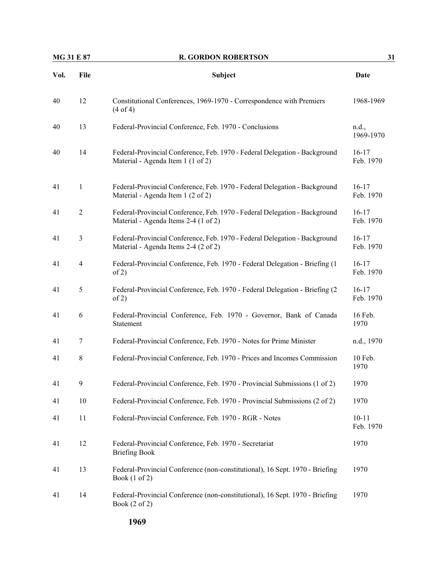|      | <b>MG 31 E 87</b><br><b>R. GORDON ROBERTSON</b> |                                                                                                                    | 31                     |  |
|------|-------------------------------------------------|--------------------------------------------------------------------------------------------------------------------|------------------------|--|
| Vol. | File                                            | <b>Subject</b>                                                                                                     | Date                   |  |
| 40   | 12                                              | Constitutional Conferences, 1969-1970 - Correspondence with Premiers<br>(4 of 4)                                   | 1968-1969              |  |
| 40   | 13                                              | Federal-Provincial Conference, Feb. 1970 - Conclusions                                                             | n.d.,<br>1969-1970     |  |
| 40   | 14                                              | Federal-Provincial Conference, Feb. 1970 - Federal Delegation - Background<br>Material - Agenda Item 1 (1 of 2)    | $16-17$<br>Feb. 1970   |  |
| 41   | $\mathbf{1}$                                    | Federal-Provincial Conference, Feb. 1970 - Federal Delegation - Background<br>Material - Agenda Item 1 (2 of 2)    | $16-17$<br>Feb. 1970   |  |
| 41   | $\overline{2}$                                  | Federal-Provincial Conference, Feb. 1970 - Federal Delegation - Background<br>Material - Agenda Items 2-4 (1 of 2) | $16 - 17$<br>Feb. 1970 |  |
| 41   | $\mathfrak{Z}$                                  | Federal-Provincial Conference, Feb. 1970 - Federal Delegation - Background<br>Material - Agenda Items 2-4 (2 of 2) | $16-17$<br>Feb. 1970   |  |
| 41   | $\overline{4}$                                  | Federal-Provincial Conference, Feb. 1970 - Federal Delegation - Briefing (1<br>of 2)                               | $16-17$<br>Feb. 1970   |  |
| 41   | 5                                               | Federal-Provincial Conference, Feb. 1970 - Federal Delegation - Briefing (2)<br>of 2)                              | $16-17$<br>Feb. 1970   |  |
| 41   | 6                                               | Federal-Provincial Conference, Feb. 1970 - Governor, Bank of Canada<br>Statement                                   | 16 Feb.<br>1970        |  |
| 41   | 7                                               | Federal-Provincial Conference, Feb. 1970 - Notes for Prime Minister                                                | n.d., 1970             |  |
| 41   | $\,$ 8 $\,$                                     | Federal-Provincial Conference, Feb. 1970 - Prices and Incomes Commission                                           | 10 Feb.<br>1970        |  |
| 41   | 9                                               | Federal-Provincial Conference, Feb. 1970 - Provincial Submissions (1 of 2)                                         | 1970                   |  |
| 41   | $10\,$                                          | Federal-Provincial Conference, Feb. 1970 - Provincial Submissions (2 of 2)                                         | 1970                   |  |
| 41   | 11                                              | Federal-Provincial Conference, Feb. 1970 - RGR - Notes                                                             | $10 - 11$<br>Feb. 1970 |  |
| 41   | 12                                              | Federal-Provincial Conference, Feb. 1970 - Secretariat<br><b>Briefing Book</b>                                     | 1970                   |  |
| 41   | 13                                              | Federal-Provincial Conference (non-constitutional), 16 Sept. 1970 - Briefing<br>Book $(1 \text{ of } 2)$           | 1970                   |  |
| 41   | 14                                              | Federal-Provincial Conference (non-constitutional), 16 Sept. 1970 - Briefing<br>Book (2 of 2)                      | 1970                   |  |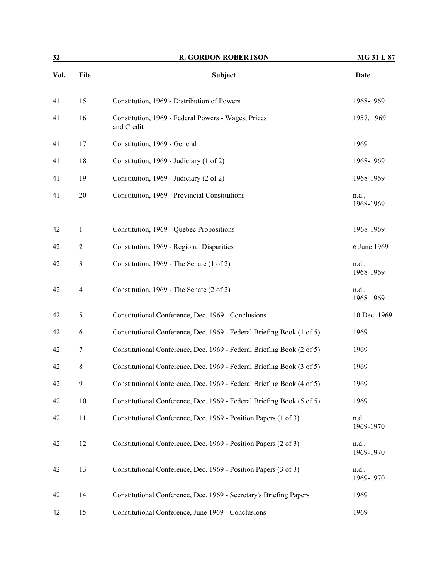| 32   |                | <b>R. GORDON ROBERTSON</b>                                            | <b>MG 31 E 87</b>  |  |
|------|----------------|-----------------------------------------------------------------------|--------------------|--|
| Vol. | File           | Subject                                                               | Date               |  |
| 41   | 15             | Constitution, 1969 - Distribution of Powers                           | 1968-1969          |  |
| 41   | 16             | Constitution, 1969 - Federal Powers - Wages, Prices<br>and Credit     | 1957, 1969         |  |
| 41   | 17             | Constitution, 1969 - General                                          | 1969               |  |
| 41   | 18             | Constitution, 1969 - Judiciary (1 of 2)                               | 1968-1969          |  |
| 41   | 19             | Constitution, 1969 - Judiciary (2 of 2)                               | 1968-1969          |  |
| 41   | 20             | Constitution, 1969 - Provincial Constitutions                         | n.d.,<br>1968-1969 |  |
| 42   | $\mathbf{1}$   | Constitution, 1969 - Quebec Propositions                              | 1968-1969          |  |
| 42   | $\overline{2}$ | Constitution, 1969 - Regional Disparities                             | 6 June 1969        |  |
| 42   | $\mathfrak{Z}$ | Constitution, 1969 - The Senate (1 of 2)                              | n.d.,<br>1968-1969 |  |
| 42   | $\overline{4}$ | Constitution, 1969 - The Senate (2 of 2)                              | n.d.,<br>1968-1969 |  |
| 42   | 5              | Constitutional Conference, Dec. 1969 - Conclusions                    | 10 Dec. 1969       |  |
| 42   | 6              | Constitutional Conference, Dec. 1969 - Federal Briefing Book (1 of 5) | 1969               |  |
| 42   | 7              | Constitutional Conference, Dec. 1969 - Federal Briefing Book (2 of 5) | 1969               |  |
| 42   | 8              | Constitutional Conference, Dec. 1969 - Federal Briefing Book (3 of 5) | 1969               |  |
| 42   | 9              | Constitutional Conference, Dec. 1969 - Federal Briefing Book (4 of 5) | 1969               |  |
| 42   | $10\,$         | Constitutional Conference, Dec. 1969 - Federal Briefing Book (5 of 5) | 1969               |  |
| 42   | 11             | Constitutional Conference, Dec. 1969 - Position Papers (1 of 3)       | n.d.,<br>1969-1970 |  |
| 42   | 12             | Constitutional Conference, Dec. 1969 - Position Papers (2 of 3)       | n.d.,<br>1969-1970 |  |
| 42   | 13             | Constitutional Conference, Dec. 1969 - Position Papers (3 of 3)       | n.d.,<br>1969-1970 |  |
| 42   | 14             | Constitutional Conference, Dec. 1969 - Secretary's Briefing Papers    | 1969               |  |
| 42   | 15             | Constitutional Conference, June 1969 - Conclusions                    | 1969               |  |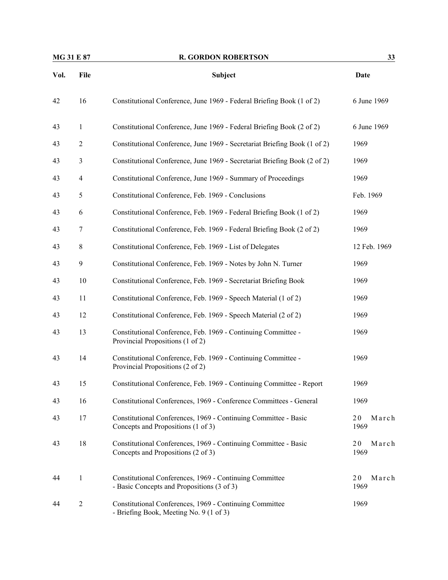| <b>MG 31 E 87</b> |                | <b>R. GORDON ROBERTSON</b>                                                                            | 33                  |  |
|-------------------|----------------|-------------------------------------------------------------------------------------------------------|---------------------|--|
| Vol.              | File           | Subject                                                                                               | Date                |  |
| 42                | 16             | Constitutional Conference, June 1969 - Federal Briefing Book (1 of 2)                                 | 6 June 1969         |  |
| 43                | 1              | Constitutional Conference, June 1969 - Federal Briefing Book (2 of 2)                                 | 6 June 1969         |  |
| 43                | $\mathfrak{2}$ | Constitutional Conference, June 1969 - Secretariat Briefing Book (1 of 2)                             | 1969                |  |
| 43                | 3              | Constitutional Conference, June 1969 - Secretariat Briefing Book (2 of 2)                             | 1969                |  |
| 43                | 4              | Constitutional Conference, June 1969 - Summary of Proceedings                                         | 1969                |  |
| 43                | 5              | Constitutional Conference, Feb. 1969 - Conclusions                                                    | Feb. 1969           |  |
| 43                | 6              | Constitutional Conference, Feb. 1969 - Federal Briefing Book (1 of 2)                                 | 1969                |  |
| 43                | $\tau$         | Constitutional Conference, Feb. 1969 - Federal Briefing Book (2 of 2)                                 | 1969                |  |
| 43                | $\,8\,$        | Constitutional Conference, Feb. 1969 - List of Delegates                                              | 12 Feb. 1969        |  |
| 43                | 9              | Constitutional Conference, Feb. 1969 - Notes by John N. Turner                                        | 1969                |  |
| 43                | 10             | Constitutional Conference, Feb. 1969 - Secretariat Briefing Book                                      | 1969                |  |
| 43                | 11             | Constitutional Conference, Feb. 1969 - Speech Material (1 of 2)                                       | 1969                |  |
| 43                | 12             | Constitutional Conference, Feb. 1969 - Speech Material (2 of 2)                                       | 1969                |  |
| 43                | 13             | Constitutional Conference, Feb. 1969 - Continuing Committee -<br>Provincial Propositions (1 of 2)     | 1969                |  |
| 43                | 14             | Constitutional Conference, Feb. 1969 - Continuing Committee -<br>Provincial Propositions (2 of 2)     | 1969                |  |
| 43                | 15             | Constitutional Conference, Feb. 1969 - Continuing Committee - Report                                  | 1969                |  |
| 43                | 16             | Constitutional Conferences, 1969 - Conference Committees - General                                    | 1969                |  |
| 43                | 17             | Constitutional Conferences, 1969 - Continuing Committee - Basic<br>Concepts and Propositions (1 of 3) | 20<br>March<br>1969 |  |
| 43                | 18             | Constitutional Conferences, 1969 - Continuing Committee - Basic<br>Concepts and Propositions (2 of 3) | 20<br>March<br>1969 |  |
| 44                | $\mathbf{1}$   | Constitutional Conferences, 1969 - Continuing Committee<br>- Basic Concepts and Propositions (3 of 3) | 20<br>March<br>1969 |  |
| 44                | $\mathfrak{2}$ | Constitutional Conferences, 1969 - Continuing Committee<br>- Briefing Book, Meeting No. 9 (1 of 3)    | 1969                |  |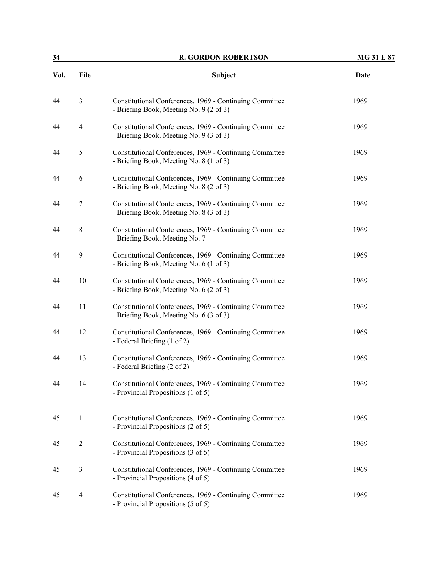| 34   |                          | <b>R. GORDON ROBERTSON</b>                                                                         | <b>MG 31 E 87</b> |  |
|------|--------------------------|----------------------------------------------------------------------------------------------------|-------------------|--|
| Vol. | File                     | Subject                                                                                            | Date              |  |
| 44   | $\mathfrak{Z}$           | Constitutional Conferences, 1969 - Continuing Committee<br>- Briefing Book, Meeting No. 9 (2 of 3) | 1969              |  |
| 44   | $\overline{4}$           | Constitutional Conferences, 1969 - Continuing Committee<br>- Briefing Book, Meeting No. 9 (3 of 3) | 1969              |  |
| 44   | $\mathfrak s$            | Constitutional Conferences, 1969 - Continuing Committee<br>- Briefing Book, Meeting No. 8 (1 of 3) | 1969              |  |
| 44   | 6                        | Constitutional Conferences, 1969 - Continuing Committee<br>- Briefing Book, Meeting No. 8 (2 of 3) | 1969              |  |
| 44   | $\tau$                   | Constitutional Conferences, 1969 - Continuing Committee<br>- Briefing Book, Meeting No. 8 (3 of 3) | 1969              |  |
| 44   | $\,8\,$                  | Constitutional Conferences, 1969 - Continuing Committee<br>- Briefing Book, Meeting No. 7          | 1969              |  |
| 44   | 9                        | Constitutional Conferences, 1969 - Continuing Committee<br>- Briefing Book, Meeting No. 6 (1 of 3) | 1969              |  |
| 44   | 10                       | Constitutional Conferences, 1969 - Continuing Committee<br>- Briefing Book, Meeting No. 6 (2 of 3) | 1969              |  |
| 44   | 11                       | Constitutional Conferences, 1969 - Continuing Committee<br>- Briefing Book, Meeting No. 6 (3 of 3) | 1969              |  |
| 44   | 12                       | Constitutional Conferences, 1969 - Continuing Committee<br>- Federal Briefing (1 of 2)             | 1969              |  |
| 44   | 13                       | Constitutional Conferences, 1969 - Continuing Committee<br>- Federal Briefing (2 of 2)             | 1969              |  |
| 44   | 14                       | Constitutional Conferences, 1969 - Continuing Committee<br>- Provincial Propositions (1 of 5)      | 1969              |  |
| 45   | $\mathbf{1}$             | Constitutional Conferences, 1969 - Continuing Committee<br>- Provincial Propositions (2 of 5)      | 1969              |  |
| 45   | $\overline{c}$           | Constitutional Conferences, 1969 - Continuing Committee<br>- Provincial Propositions (3 of 5)      | 1969              |  |
| 45   | $\mathfrak{Z}$           | Constitutional Conferences, 1969 - Continuing Committee<br>- Provincial Propositions (4 of 5)      | 1969              |  |
| 45   | $\overline{\mathcal{A}}$ | Constitutional Conferences, 1969 - Continuing Committee<br>- Provincial Propositions (5 of 5)      | 1969              |  |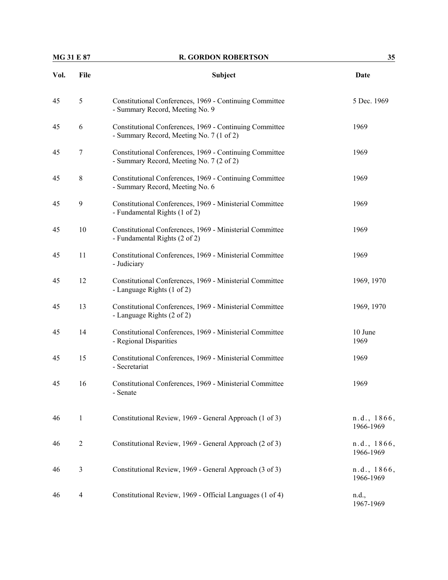### **R. GORDON ROBERTSON** 35

| Vol. | File | Subject                                                                                             | Date        |
|------|------|-----------------------------------------------------------------------------------------------------|-------------|
| 45   | 5    | Constitutional Conferences, 1969 - Continuing Committee<br>- Summary Record, Meeting No. 9          | 5 Dec. 1969 |
| 45   | 6    | Constitutional Conferences, 1969 - Continuing Committee<br>- Summary Record, Meeting No. 7 (1 of 2) | 1969        |
| 45   | 7    | Constitutional Conferences, 1969 - Continuing Committee<br>- Summary Record, Meeting No. 7 (2 of 2) | 1969        |
| 45   | 8    | Constitutional Conferences, 1969 - Continuing Committee<br>- Summary Record, Meeting No. 6          | 1969        |
| 45   | 9    | Constitutional Conferences, 1969 - Ministerial Committee                                            | 1969        |

| 45 | $8\,$          | Constitutional Conferences, 1969 - Continuing Committee<br>- Summary Record, Meeting No. 6 | 1969                     |
|----|----------------|--------------------------------------------------------------------------------------------|--------------------------|
| 45 | 9              | Constitutional Conferences, 1969 - Ministerial Committee<br>- Fundamental Rights (1 of 2)  | 1969                     |
| 45 | 10             | Constitutional Conferences, 1969 - Ministerial Committee<br>- Fundamental Rights (2 of 2)  | 1969                     |
| 45 | 11             | Constitutional Conferences, 1969 - Ministerial Committee<br>- Judiciary                    | 1969                     |
| 45 | 12             | Constitutional Conferences, 1969 - Ministerial Committee<br>- Language Rights (1 of 2)     | 1969, 1970               |
| 45 | 13             | Constitutional Conferences, 1969 - Ministerial Committee<br>- Language Rights (2 of 2)     | 1969, 1970               |
| 45 | 14             | Constitutional Conferences, 1969 - Ministerial Committee<br>- Regional Disparities         | 10 June<br>1969          |
| 45 | 15             | Constitutional Conferences, 1969 - Ministerial Committee<br>- Secretariat                  | 1969                     |
| 45 | 16             | Constitutional Conferences, 1969 - Ministerial Committee<br>- Senate                       | 1969                     |
| 46 | $\mathbf{1}$   | Constitutional Review, 1969 - General Approach (1 of 3)                                    | n.d., 1866,<br>1966-1969 |
| 46 | $\mathfrak{2}$ | Constitutional Review, 1969 - General Approach (2 of 3)                                    | n.d., 1866,<br>1966-1969 |
| 46 | $\mathfrak{Z}$ | Constitutional Review, 1969 - General Approach (3 of 3)                                    | n.d., 1866,<br>1966-1969 |
| 46 | $\overline{4}$ | Constitutional Review, 1969 - Official Languages (1 of 4)                                  | n.d.,                    |

1967-1969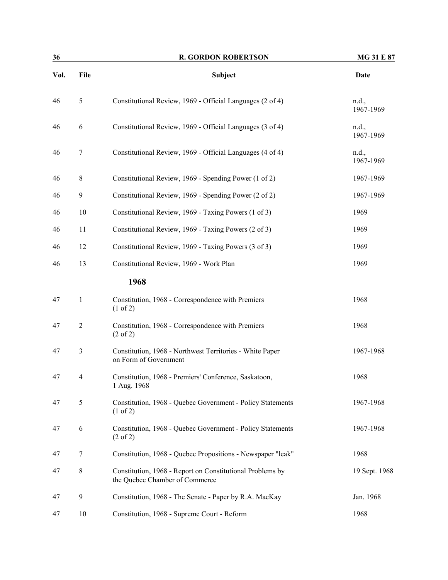| 36   |                  | <b>R. GORDON ROBERTSON</b>                                                                  | MG 31 E 87         |  |
|------|------------------|---------------------------------------------------------------------------------------------|--------------------|--|
| Vol. | File             | <b>Subject</b>                                                                              | <b>Date</b>        |  |
| 46   | 5                | Constitutional Review, 1969 - Official Languages (2 of 4)                                   | n.d.,<br>1967-1969 |  |
| 46   | 6                | Constitutional Review, 1969 - Official Languages (3 of 4)                                   | n.d.,<br>1967-1969 |  |
| 46   | $\boldsymbol{7}$ | Constitutional Review, 1969 - Official Languages (4 of 4)                                   | n.d.,<br>1967-1969 |  |
| 46   | 8                | Constitutional Review, 1969 - Spending Power (1 of 2)                                       | 1967-1969          |  |
| 46   | 9                | Constitutional Review, 1969 - Spending Power (2 of 2)                                       | 1967-1969          |  |
| 46   | 10               | Constitutional Review, 1969 - Taxing Powers (1 of 3)                                        | 1969               |  |
| 46   | 11               | Constitutional Review, 1969 - Taxing Powers (2 of 3)                                        | 1969               |  |
| 46   | 12               | Constitutional Review, 1969 - Taxing Powers (3 of 3)                                        | 1969               |  |
| 46   | 13               | Constitutional Review, 1969 - Work Plan                                                     | 1969               |  |
|      |                  | 1968                                                                                        |                    |  |
| 47   | $\mathbf{1}$     | Constitution, 1968 - Correspondence with Premiers<br>$(1 \text{ of } 2)$                    | 1968               |  |
| 47   | $\overline{2}$   | Constitution, 1968 - Correspondence with Premiers<br>$(2 \text{ of } 2)$                    | 1968               |  |
| 47   | $\mathfrak{Z}$   | Constitution, 1968 - Northwest Territories - White Paper<br>on Form of Government           | 1967-1968          |  |
| 47   | $\overline{4}$   | Constitution, 1968 - Premiers' Conference, Saskatoon,<br>1 Aug. 1968                        | 1968               |  |
| 47   | $\mathfrak s$    | Constitution, 1968 - Quebec Government - Policy Statements<br>$(1 \text{ of } 2)$           | 1967-1968          |  |
| 47   | 6                | Constitution, 1968 - Quebec Government - Policy Statements<br>$(2 \text{ of } 2)$           | 1967-1968          |  |
| 47   | 7                | Constitution, 1968 - Quebec Propositions - Newspaper "leak"                                 | 1968               |  |
| 47   | 8                | Constitution, 1968 - Report on Constitutional Problems by<br>the Quebec Chamber of Commerce | 19 Sept. 1968      |  |
| 47   | 9                | Constitution, 1968 - The Senate - Paper by R.A. MacKay                                      | Jan. 1968          |  |
| 47   | 10               | Constitution, 1968 - Supreme Court - Reform                                                 | 1968               |  |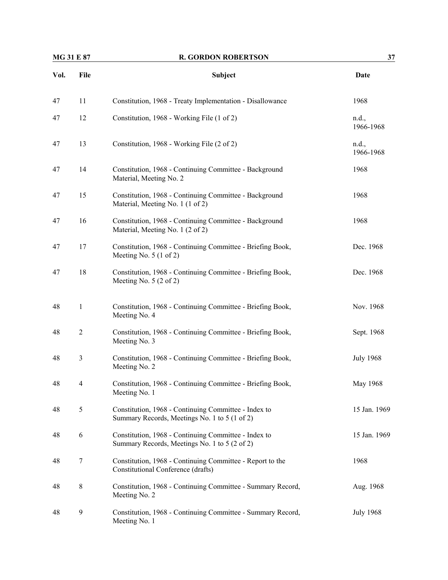| MG 31 E 87 |                | <b>R. GORDON ROBERTSON</b>                                                                            | 37                 |  |
|------------|----------------|-------------------------------------------------------------------------------------------------------|--------------------|--|
| Vol.       | File           | Subject                                                                                               | Date               |  |
| 47         | 11             | Constitution, 1968 - Treaty Implementation - Disallowance                                             | 1968               |  |
| 47         | 12             | Constitution, 1968 - Working File (1 of 2)                                                            | n.d.,<br>1966-1968 |  |
| 47         | 13             | Constitution, 1968 - Working File (2 of 2)                                                            | n.d.,<br>1966-1968 |  |
| 47         | 14             | Constitution, 1968 - Continuing Committee - Background<br>Material, Meeting No. 2                     | 1968               |  |
| 47         | 15             | Constitution, 1968 - Continuing Committee - Background<br>Material, Meeting No. 1 (1 of 2)            | 1968               |  |
| 47         | 16             | Constitution, 1968 - Continuing Committee - Background<br>Material, Meeting No. 1 (2 of 2)            | 1968               |  |
| 47         | 17             | Constitution, 1968 - Continuing Committee - Briefing Book,<br>Meeting No. 5 (1 of 2)                  | Dec. 1968          |  |
| 47         | 18             | Constitution, 1968 - Continuing Committee - Briefing Book,<br>Meeting No. $5(2 \text{ of } 2)$        | Dec. 1968          |  |
| 48         | $\mathbf{1}$   | Constitution, 1968 - Continuing Committee - Briefing Book,<br>Meeting No. 4                           | Nov. 1968          |  |
| 48         | $\overline{2}$ | Constitution, 1968 - Continuing Committee - Briefing Book,<br>Meeting No. 3                           | Sept. 1968         |  |
| 48         | $\mathfrak{Z}$ | Constitution, 1968 - Continuing Committee - Briefing Book,<br>Meeting No. 2                           | <b>July 1968</b>   |  |
| 48         | 4              | Constitution, 1968 - Continuing Committee - Briefing Book,<br>Meeting No. 1                           | May 1968           |  |
| 48         | $\mathfrak s$  | Constitution, 1968 - Continuing Committee - Index to<br>Summary Records, Meetings No. 1 to 5 (1 of 2) | 15 Jan. 1969       |  |
| 48         | 6              | Constitution, 1968 - Continuing Committee - Index to<br>Summary Records, Meetings No. 1 to 5 (2 of 2) | 15 Jan. 1969       |  |
| 48         | 7              | Constitution, 1968 - Continuing Committee - Report to the<br>Constitutional Conference (drafts)       | 1968               |  |
| 48         | $\,8\,$        | Constitution, 1968 - Continuing Committee - Summary Record,<br>Meeting No. 2                          | Aug. 1968          |  |
| 48         | 9              | Constitution, 1968 - Continuing Committee - Summary Record,<br>Meeting No. 1                          | <b>July 1968</b>   |  |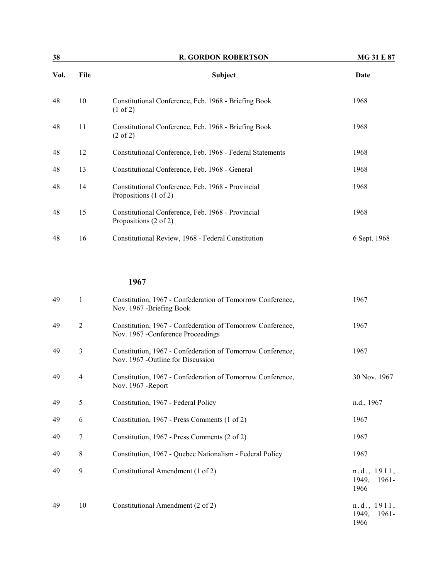| 38   |      | <b>R. GORDON ROBERTSON</b>                                                  | <b>MG 31 E 87</b> |
|------|------|-----------------------------------------------------------------------------|-------------------|
| Vol. | File | <b>Subject</b>                                                              | Date              |
| 48   | 10   | Constitutional Conference, Feb. 1968 - Briefing Book<br>$(1 \text{ of } 2)$ | 1968              |
| 48   | 11   | Constitutional Conference, Feb. 1968 - Briefing Book<br>$(2 \text{ of } 2)$ | 1968              |
| 48   | 12   | Constitutional Conference, Feb. 1968 - Federal Statements                   | 1968              |
| 48   | 13   | Constitutional Conference, Feb. 1968 - General                              | 1968              |
| 48   | 14   | Constitutional Conference, Feb. 1968 - Provincial<br>Propositions (1 of 2)  | 1968              |
| 48   | 15   | Constitutional Conference, Feb. 1968 - Provincial<br>Propositions (2 of 2)  | 1968              |
| 48   | 16   | Constitutional Review, 1968 - Federal Constitution                          | 6 Sept. 1968      |

| 49 | 1              | Constitution, 1967 - Confederation of Tomorrow Conference,<br>Nov. 1967 - Briefing Book          | 1967                                  |
|----|----------------|--------------------------------------------------------------------------------------------------|---------------------------------------|
| 49 | $\overline{2}$ | Constitution, 1967 - Confederation of Tomorrow Conference,<br>Nov. 1967 - Conference Proceedings | 1967                                  |
| 49 | 3              | Constitution, 1967 - Confederation of Tomorrow Conference,<br>Nov. 1967 - Outline for Discussion | 1967                                  |
| 49 | $\overline{4}$ | Constitution, 1967 - Confederation of Tomorrow Conference,<br>Nov. 1967 - Report                 | 30 Nov. 1967                          |
| 49 | 5              | Constitution, 1967 - Federal Policy                                                              | n.d., 1967                            |
| 49 | 6              | Constitution, 1967 - Press Comments (1 of 2)                                                     | 1967                                  |
| 49 | 7              | Constitution, 1967 - Press Comments (2 of 2)                                                     | 1967                                  |
| 49 | 8              | Constitution, 1967 - Quebec Nationalism - Federal Policy                                         | 1967                                  |
| 49 | 9              | Constitutional Amendment (1 of 2)                                                                | n.d., 1911,<br>1949, 1961-<br>1966    |
| 49 | 10             | Constitutional Amendment (2 of 2)                                                                | n.d., 1911,<br>1949.<br>1961-<br>1966 |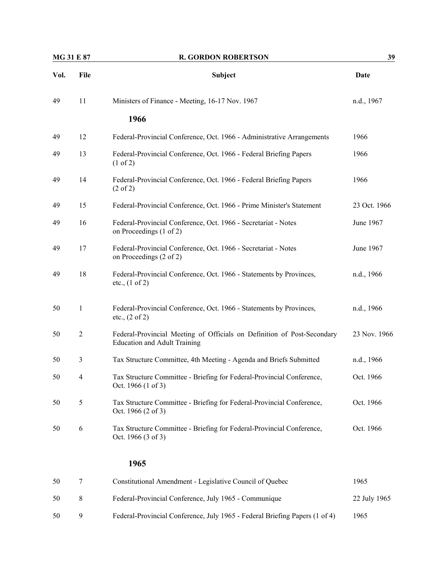| <b>MG 31 E 87</b> |                | <b>R. GORDON ROBERTSON</b>                                                                                     | 39           |  |
|-------------------|----------------|----------------------------------------------------------------------------------------------------------------|--------------|--|
| Vol.              | File           | <b>Subject</b>                                                                                                 | Date         |  |
| 49                | 11             | Ministers of Finance - Meeting, 16-17 Nov. 1967                                                                | n.d., 1967   |  |
|                   |                | 1966                                                                                                           |              |  |
| 49                | 12             | Federal-Provincial Conference, Oct. 1966 - Administrative Arrangements                                         | 1966         |  |
| 49                | 13             | Federal-Provincial Conference, Oct. 1966 - Federal Briefing Papers<br>$(1 \text{ of } 2)$                      | 1966         |  |
| 49                | 14             | Federal-Provincial Conference, Oct. 1966 - Federal Briefing Papers<br>$(2 \text{ of } 2)$                      | 1966         |  |
| 49                | 15             | Federal-Provincial Conference, Oct. 1966 - Prime Minister's Statement                                          | 23 Oct. 1966 |  |
| 49                | 16             | Federal-Provincial Conference, Oct. 1966 - Secretariat - Notes<br>on Proceedings (1 of 2)                      | June 1967    |  |
| 49                | 17             | Federal-Provincial Conference, Oct. 1966 - Secretariat - Notes<br>on Proceedings (2 of 2)                      | June 1967    |  |
| 49                | 18             | Federal-Provincial Conference, Oct. 1966 - Statements by Provinces,<br>etc., (1 of 2)                          | n.d., 1966   |  |
| 50                | 1              | Federal-Provincial Conference, Oct. 1966 - Statements by Provinces,<br>etc., (2 of 2)                          | n.d., 1966   |  |
| 50                | $\overline{2}$ | Federal-Provincial Meeting of Officials on Definition of Post-Secondary<br><b>Education and Adult Training</b> | 23 Nov. 1966 |  |
| 50                | 3              | Tax Structure Committee, 4th Meeting - Agenda and Briefs Submitted                                             | n.d., 1966   |  |
| 50                | $\overline{4}$ | Tax Structure Committee - Briefing for Federal-Provincial Conference,<br>Oct. 1966 (1 of 3)                    | Oct. 1966    |  |
| 50                | 5              | Tax Structure Committee - Briefing for Federal-Provincial Conference,<br>Oct. 1966 (2 of 3)                    | Oct. 1966    |  |
| 50                | 6              | Tax Structure Committee - Briefing for Federal-Provincial Conference,<br>Oct. 1966 (3 of 3)                    | Oct. 1966    |  |
|                   |                | 1965                                                                                                           |              |  |
| 50                | 7              | Constitutional Amendment - Legislative Council of Quebec                                                       | 1965         |  |
| 50                | 8              | Federal-Provincial Conference, July 1965 - Communique                                                          | 22 July 1965 |  |
| 50                | 9              | Federal-Provincial Conference, July 1965 - Federal Briefing Papers (1 of 4)                                    | 1965         |  |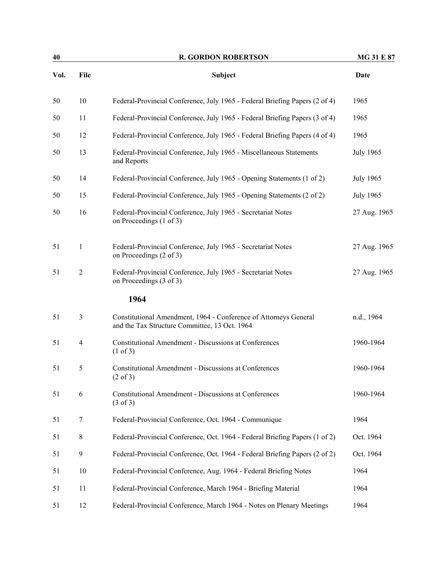| 40   |                | <b>R. GORDON ROBERTSON</b>                                                                                        | <b>MG 31 E 87</b> |
|------|----------------|-------------------------------------------------------------------------------------------------------------------|-------------------|
| Vol. | File           | Subject                                                                                                           | <b>Date</b>       |
| 50   | 10             | Federal-Provincial Conference, July 1965 - Federal Briefing Papers (2 of 4)                                       | 1965              |
| 50   | 11             | Federal-Provincial Conference, July 1965 - Federal Briefing Papers (3 of 4)                                       | 1965              |
| 50   | 12             | Federal-Provincial Conference, July 1965 - Federal Briefing Papers (4 of 4)                                       | 1965              |
| 50   | 13             | Federal-Provincial Conference, July 1965 - Miscellaneous Statements<br>and Reports                                | <b>July 1965</b>  |
| 50   | 14             | Federal-Provincial Conference, July 1965 - Opening Statements (1 of 2)                                            | <b>July 1965</b>  |
| 50   | 15             | Federal-Provincial Conference, July 1965 - Opening Statements (2 of 2)                                            | <b>July 1965</b>  |
| 50   | 16             | Federal-Provincial Conference, July 1965 - Secretariat Notes<br>on Proceedings (1 of 3)                           | 27 Aug. 1965      |
| 51   | $\mathbf{1}$   | Federal-Provincial Conference, July 1965 - Secretariat Notes<br>on Proceedings (2 of 3)                           | 27 Aug. 1965      |
| 51   | $\overline{2}$ | Federal-Provincial Conference, July 1965 - Secretariat Notes<br>on Proceedings (3 of 3)                           | 27 Aug. 1965      |
|      |                | 1964                                                                                                              |                   |
| 51   | $\mathfrak{Z}$ | Constitutional Amendment, 1964 - Conference of Attorneys General<br>and the Tax Structure Committee, 13 Oct. 1964 | n.d., 1964        |
| 51   | $\overline{4}$ | <b>Constitutional Amendment - Discussions at Conferences</b><br>$(1 \text{ of } 3)$                               | 1960-1964         |
| 51   | 5              | <b>Constitutional Amendment - Discussions at Conferences</b><br>$(2 \text{ of } 3)$                               | 1960-1964         |
| 51   | 6              | <b>Constitutional Amendment - Discussions at Conferences</b><br>$(3 \text{ of } 3)$                               | 1960-1964         |
| 51   | 7              | Federal-Provincial Conference, Oct. 1964 - Communique                                                             | 1964              |
| 51   | $\,8\,$        | Federal-Provincial Conference, Oct. 1964 - Federal Briefing Papers (1 of 2)                                       | Oct. 1964         |
| 51   | 9              | Federal-Provincial Conference, Oct. 1964 - Federal Briefing Papers (2 of 2)                                       | Oct. 1964         |
| 51   | 10             | Federal-Provincial Conference, Aug. 1964 - Federal Briefing Notes                                                 | 1964              |
| 51   | 11             | Federal-Provincial Conference, March 1964 - Briefing Material                                                     | 1964              |
| 51   | 12             | Federal-Provincial Conference, March 1964 - Notes on Plenary Meetings                                             | 1964              |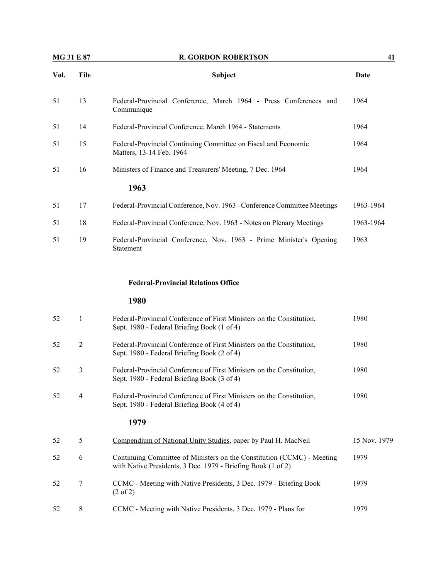| <b>MG 31 E 87</b> |                | <b>R. GORDON ROBERTSON</b>                                                                                                             | 41           |  |
|-------------------|----------------|----------------------------------------------------------------------------------------------------------------------------------------|--------------|--|
| Vol.              | File           | <b>Subject</b>                                                                                                                         | <b>Date</b>  |  |
| 51                | 13             | Federal-Provincial Conference, March 1964 - Press Conferences and<br>Communique                                                        | 1964         |  |
| 51                | 14             | Federal-Provincial Conference, March 1964 - Statements                                                                                 | 1964         |  |
| 51                | 15             | Federal-Provincial Continuing Committee on Fiscal and Economic<br>Matters, 13-14 Feb. 1964                                             | 1964         |  |
| 51                | 16             | Ministers of Finance and Treasurers' Meeting, 7 Dec. 1964                                                                              | 1964         |  |
|                   |                | 1963                                                                                                                                   |              |  |
| 51                | 17             | Federal-Provincial Conference, Nov. 1963 - Conference Committee Meetings                                                               | 1963-1964    |  |
| 51                | 18             | Federal-Provincial Conference, Nov. 1963 - Notes on Plenary Meetings                                                                   | 1963-1964    |  |
| 51                | 19             | Federal-Provincial Conference, Nov. 1963 - Prime Minister's Opening<br>Statement                                                       | 1963         |  |
|                   |                | <b>Federal-Provincial Relations Office</b>                                                                                             |              |  |
|                   |                | 1980                                                                                                                                   |              |  |
| 52                | $\mathbf{1}$   | Federal-Provincial Conference of First Ministers on the Constitution,<br>Sept. 1980 - Federal Briefing Book (1 of 4)                   | 1980         |  |
| 52                | $\overline{2}$ | Federal-Provincial Conference of First Ministers on the Constitution,<br>Sept. 1980 - Federal Briefing Book (2 of 4)                   | 1980         |  |
| 52                | 3              | Federal-Provincial Conference of First Ministers on the Constitution,<br>Sept. 1980 - Federal Briefing Book (3 of 4)                   | 1980         |  |
| 52                | 4              | Federal-Provincial Conference of First Ministers on the Constitution,<br>Sept. 1980 - Federal Briefing Book (4 of 4)                   | 1980         |  |
|                   |                | 1979                                                                                                                                   |              |  |
| 52                | 5              | Compendium of National Unity Studies, paper by Paul H. MacNeil                                                                         | 15 Nov. 1979 |  |
| 52                | 6              | Continuing Committee of Ministers on the Constitution (CCMC) - Meeting<br>with Native Presidents, 3 Dec. 1979 - Briefing Book (1 of 2) | 1979         |  |
| 52                | 7              | CCMC - Meeting with Native Presidents, 3 Dec. 1979 - Briefing Book<br>$(2 \text{ of } 2)$                                              | 1979         |  |

52 8 CCMC - Meeting with Native Presidents, 3 Dec. 1979 - Plans for 1979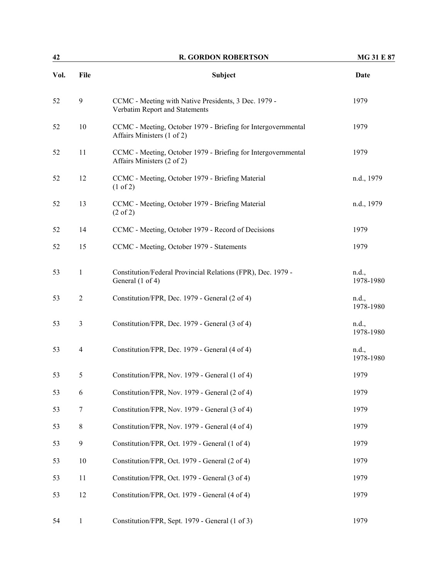| 42   |                  | <b>R. GORDON ROBERTSON</b>                                                                  | <b>MG 31 E 87</b>  |  |
|------|------------------|---------------------------------------------------------------------------------------------|--------------------|--|
| Vol. | File             | Subject                                                                                     | Date               |  |
| 52   | $\mathbf{9}$     | CCMC - Meeting with Native Presidents, 3 Dec. 1979 -<br>Verbatim Report and Statements      | 1979               |  |
| 52   | $10\,$           | CCMC - Meeting, October 1979 - Briefing for Intergovernmental<br>Affairs Ministers (1 of 2) | 1979               |  |
| 52   | 11               | CCMC - Meeting, October 1979 - Briefing for Intergovernmental<br>Affairs Ministers (2 of 2) | 1979               |  |
| 52   | 12               | CCMC - Meeting, October 1979 - Briefing Material<br>(1 of 2)                                | n.d., 1979         |  |
| 52   | 13               | CCMC - Meeting, October 1979 - Briefing Material<br>$(2 \text{ of } 2)$                     | n.d., 1979         |  |
| 52   | 14               | CCMC - Meeting, October 1979 - Record of Decisions                                          | 1979               |  |
| 52   | 15               | CCMC - Meeting, October 1979 - Statements                                                   | 1979               |  |
| 53   | $\mathbf{1}$     | Constitution/Federal Provincial Relations (FPR), Dec. 1979 -<br>General (1 of 4)            | n.d.,<br>1978-1980 |  |
| 53   | $\overline{2}$   | Constitution/FPR, Dec. 1979 - General (2 of 4)                                              | n.d.,<br>1978-1980 |  |
| 53   | 3                | Constitution/FPR, Dec. 1979 - General (3 of 4)                                              | n.d.,<br>1978-1980 |  |
| 53   | $\overline{4}$   | Constitution/FPR, Dec. 1979 - General (4 of 4)                                              | n.d.,<br>1978-1980 |  |
| 53   | 5                | Constitution/FPR, Nov. 1979 - General (1 of 4)                                              | 1979               |  |
| 53   | 6                | Constitution/FPR, Nov. 1979 - General (2 of 4)                                              | 1979               |  |
| 53   | 7                | Constitution/FPR, Nov. 1979 - General (3 of 4)                                              | 1979               |  |
| 53   | $\,8\,$          | Constitution/FPR, Nov. 1979 - General (4 of 4)                                              | 1979               |  |
| 53   | $\boldsymbol{9}$ | Constitution/FPR, Oct. 1979 - General (1 of 4)                                              | 1979               |  |
| 53   | $10\,$           | Constitution/FPR, Oct. 1979 - General (2 of 4)                                              | 1979               |  |
| 53   | 11               | Constitution/FPR, Oct. 1979 - General (3 of 4)                                              | 1979               |  |
| 53   | 12               | Constitution/FPR, Oct. 1979 - General (4 of 4)                                              | 1979               |  |
| 54   | $\mathbf{1}$     | Constitution/FPR, Sept. 1979 - General (1 of 3)                                             | 1979               |  |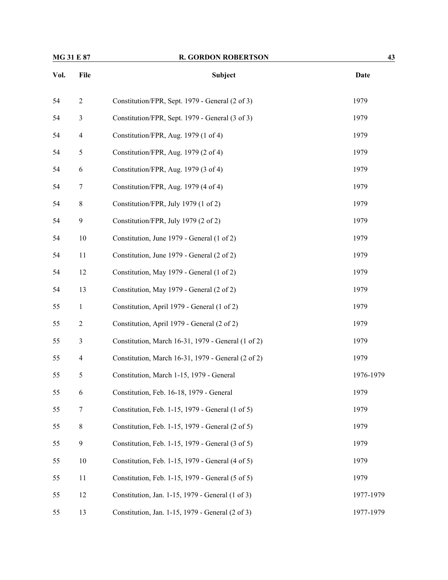| MG 31 E 87 |                | <b>R. GORDON ROBERTSON</b>                         | 43          |
|------------|----------------|----------------------------------------------------|-------------|
| Vol.       | File           | Subject                                            | <b>Date</b> |
| 54         | $\sqrt{2}$     | Constitution/FPR, Sept. 1979 - General (2 of 3)    | 1979        |
| 54         | $\mathfrak{Z}$ | Constitution/FPR, Sept. 1979 - General (3 of 3)    | 1979        |
| 54         | $\overline{4}$ | Constitution/FPR, Aug. 1979 (1 of 4)               | 1979        |
| 54         | 5              | Constitution/FPR, Aug. 1979 (2 of 4)               | 1979        |
| 54         | 6              | Constitution/FPR, Aug. 1979 (3 of 4)               | 1979        |
| 54         | 7              | Constitution/FPR, Aug. 1979 (4 of 4)               | 1979        |
| 54         | $\,8\,$        | Constitution/FPR, July 1979 (1 of 2)               | 1979        |
| 54         | 9              | Constitution/FPR, July 1979 (2 of 2)               | 1979        |
| 54         | 10             | Constitution, June 1979 - General (1 of 2)         | 1979        |
| 54         | 11             | Constitution, June 1979 - General (2 of 2)         | 1979        |
| 54         | 12             | Constitution, May 1979 - General (1 of 2)          | 1979        |
| 54         | 13             | Constitution, May 1979 - General (2 of 2)          | 1979        |
| 55         | $\mathbf{1}$   | Constitution, April 1979 - General (1 of 2)        | 1979        |
| 55         | $\overline{2}$ | Constitution, April 1979 - General (2 of 2)        | 1979        |
| 55         | 3              | Constitution, March 16-31, 1979 - General (1 of 2) | 1979        |
| 55         | 4              | Constitution, March 16-31, 1979 - General (2 of 2) | 1979        |
| 55         | 5              | Constitution, March 1-15, 1979 - General           | 1976-1979   |
| 55         | 6              | Constitution, Feb. 16-18, 1979 - General           | 1979        |
| 55         | 7              | Constitution, Feb. 1-15, 1979 - General (1 of 5)   | 1979        |
| 55         | $8\,$          | Constitution, Feb. 1-15, 1979 - General (2 of 5)   | 1979        |
| 55         | $\mathbf{9}$   | Constitution, Feb. 1-15, 1979 - General (3 of 5)   | 1979        |
| 55         | $10\,$         | Constitution, Feb. 1-15, 1979 - General (4 of 5)   | 1979        |
| 55         | 11             | Constitution, Feb. 1-15, 1979 - General (5 of 5)   | 1979        |
| 55         | 12             | Constitution, Jan. 1-15, 1979 - General (1 of 3)   | 1977-1979   |
| 55         | 13             | Constitution, Jan. 1-15, 1979 - General (2 of 3)   | 1977-1979   |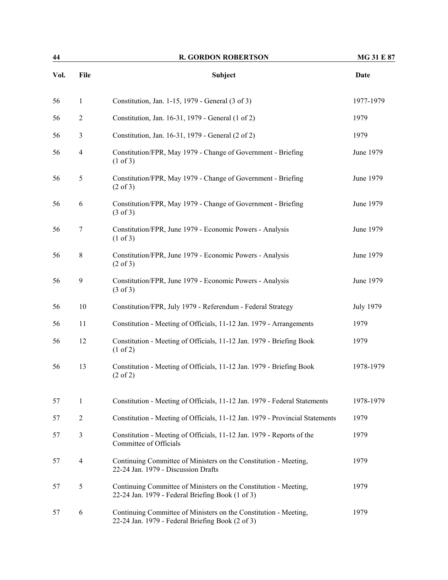| 44   |                | <b>R. GORDON ROBERTSON</b>                                                                                           | <b>MG 31 E 87</b> |  |
|------|----------------|----------------------------------------------------------------------------------------------------------------------|-------------------|--|
| Vol. | File           | <b>Subject</b>                                                                                                       | <b>Date</b>       |  |
| 56   | $\mathbf{1}$   | Constitution, Jan. 1-15, 1979 - General (3 of 3)                                                                     | 1977-1979         |  |
| 56   | $\mathfrak{2}$ | Constitution, Jan. 16-31, 1979 - General (1 of 2)                                                                    | 1979              |  |
| 56   | 3              | Constitution, Jan. 16-31, 1979 - General (2 of 2)                                                                    | 1979              |  |
| 56   | $\overline{4}$ | Constitution/FPR, May 1979 - Change of Government - Briefing<br>(1 of 3)                                             | June 1979         |  |
| 56   | $\mathfrak s$  | Constitution/FPR, May 1979 - Change of Government - Briefing<br>$(2 \text{ of } 3)$                                  | June 1979         |  |
| 56   | 6              | Constitution/FPR, May 1979 - Change of Government - Briefing<br>$(3 \text{ of } 3)$                                  | June 1979         |  |
| 56   | 7              | Constitution/FPR, June 1979 - Economic Powers - Analysis<br>$(1 \text{ of } 3)$                                      | June 1979         |  |
| 56   | $8\,$          | Constitution/FPR, June 1979 - Economic Powers - Analysis<br>$(2 \text{ of } 3)$                                      | June 1979         |  |
| 56   | 9              | Constitution/FPR, June 1979 - Economic Powers - Analysis<br>$(3 \text{ of } 3)$                                      | June 1979         |  |
| 56   | 10             | Constitution/FPR, July 1979 - Referendum - Federal Strategy                                                          | <b>July 1979</b>  |  |
| 56   | 11             | Constitution - Meeting of Officials, 11-12 Jan. 1979 - Arrangements                                                  | 1979              |  |
| 56   | 12             | Constitution - Meeting of Officials, 11-12 Jan. 1979 - Briefing Book<br>$(1 \text{ of } 2)$                          | 1979              |  |
| 56   | 13             | Constitution - Meeting of Officials, 11-12 Jan. 1979 - Briefing Book<br>$(2 \text{ of } 2)$                          | 1978-1979         |  |
| 57   | $\mathbf{1}$   | Constitution - Meeting of Officials, 11-12 Jan. 1979 - Federal Statements                                            | 1978-1979         |  |
| 57   | $\mathfrak{2}$ | Constitution - Meeting of Officials, 11-12 Jan. 1979 - Provincial Statements                                         | 1979              |  |
| 57   | 3              | Constitution - Meeting of Officials, 11-12 Jan. 1979 - Reports of the<br>Committee of Officials                      | 1979              |  |
| 57   | $\overline{4}$ | Continuing Committee of Ministers on the Constitution - Meeting,<br>22-24 Jan. 1979 - Discussion Drafts              | 1979              |  |
| 57   | 5              | Continuing Committee of Ministers on the Constitution - Meeting,<br>22-24 Jan. 1979 - Federal Briefing Book (1 of 3) | 1979              |  |
| 57   | 6              | Continuing Committee of Ministers on the Constitution - Meeting,<br>22-24 Jan. 1979 - Federal Briefing Book (2 of 3) | 1979              |  |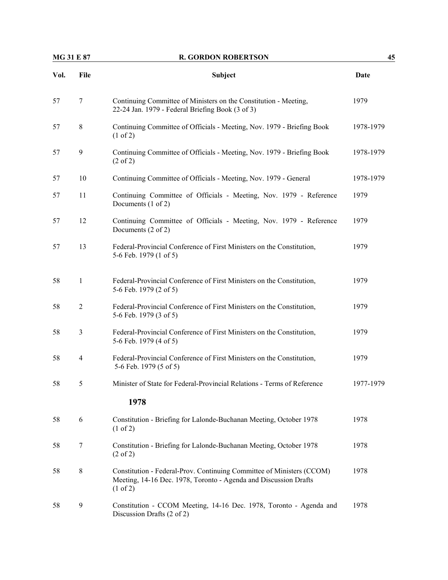| <b>MG 31 E 87</b> |                | <b>R. GORDON ROBERTSON</b>                                                                                                                                       | 45          |  |
|-------------------|----------------|------------------------------------------------------------------------------------------------------------------------------------------------------------------|-------------|--|
| Vol.              | File           | <b>Subject</b>                                                                                                                                                   | <b>Date</b> |  |
| 57                | $\tau$         | Continuing Committee of Ministers on the Constitution - Meeting,<br>22-24 Jan. 1979 - Federal Briefing Book (3 of 3)                                             | 1979        |  |
| 57                | 8              | Continuing Committee of Officials - Meeting, Nov. 1979 - Briefing Book<br>(1 of 2)                                                                               | 1978-1979   |  |
| 57                | 9              | Continuing Committee of Officials - Meeting, Nov. 1979 - Briefing Book<br>$(2 \text{ of } 2)$                                                                    | 1978-1979   |  |
| 57                | 10             | Continuing Committee of Officials - Meeting, Nov. 1979 - General                                                                                                 | 1978-1979   |  |
| 57                | 11             | Continuing Committee of Officials - Meeting, Nov. 1979 - Reference<br>Documents (1 of 2)                                                                         | 1979        |  |
| 57                | 12             | Continuing Committee of Officials - Meeting, Nov. 1979 - Reference<br>Documents (2 of 2)                                                                         | 1979        |  |
| 57                | 13             | Federal-Provincial Conference of First Ministers on the Constitution,<br>5-6 Feb. 1979 (1 of 5)                                                                  | 1979        |  |
| 58                | $\mathbf{1}$   | Federal-Provincial Conference of First Ministers on the Constitution,<br>5-6 Feb. 1979 (2 of 5)                                                                  | 1979        |  |
| 58                | $\overline{2}$ | Federal-Provincial Conference of First Ministers on the Constitution,<br>5-6 Feb. 1979 (3 of 5)                                                                  | 1979        |  |
| 58                | $\mathfrak{Z}$ | Federal-Provincial Conference of First Ministers on the Constitution,<br>5-6 Feb. 1979 (4 of 5)                                                                  | 1979        |  |
| 58                | 4              | Federal-Provincial Conference of First Ministers on the Constitution,<br>5-6 Feb. 1979 (5 of 5)                                                                  | 1979        |  |
| 58                | 5              | Minister of State for Federal-Provincial Relations - Terms of Reference                                                                                          | 1977-1979   |  |
|                   |                | 1978                                                                                                                                                             |             |  |
| 58                | 6              | Constitution - Briefing for Lalonde-Buchanan Meeting, October 1978<br>$(1 \text{ of } 2)$                                                                        | 1978        |  |
| 58                | 7              | Constitution - Briefing for Lalonde-Buchanan Meeting, October 1978<br>$(2 \text{ of } 2)$                                                                        | 1978        |  |
| 58                | $\,8\,$        | Constitution - Federal-Prov. Continuing Committee of Ministers (CCOM)<br>Meeting, 14-16 Dec. 1978, Toronto - Agenda and Discussion Drafts<br>$(1 \text{ of } 2)$ | 1978        |  |
| 58                | 9              | Constitution - CCOM Meeting, 14-16 Dec. 1978, Toronto - Agenda and<br>Discussion Drafts (2 of 2)                                                                 | 1978        |  |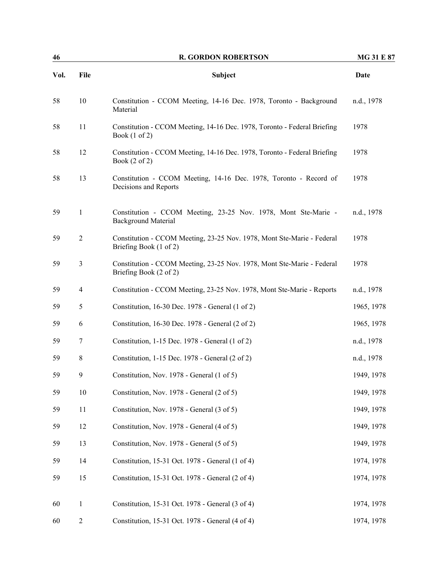| 46   | <b>R. GORDON ROBERTSON</b> |                                                                                                      | <b>MG 31 E 87</b> |
|------|----------------------------|------------------------------------------------------------------------------------------------------|-------------------|
| Vol. | File                       | <b>Subject</b>                                                                                       | <b>Date</b>       |
| 58   | 10                         | Constitution - CCOM Meeting, 14-16 Dec. 1978, Toronto - Background<br>Material                       | n.d., 1978        |
| 58   | 11                         | Constitution - CCOM Meeting, 14-16 Dec. 1978, Toronto - Federal Briefing<br>Book $(1 \text{ of } 2)$ | 1978              |
| 58   | 12                         | Constitution - CCOM Meeting, 14-16 Dec. 1978, Toronto - Federal Briefing<br>Book $(2 \text{ of } 2)$ | 1978              |
| 58   | 13                         | Constitution - CCOM Meeting, 14-16 Dec. 1978, Toronto - Record of<br>Decisions and Reports           | 1978              |
| 59   | $\mathbf{1}$               | Constitution - CCOM Meeting, 23-25 Nov. 1978, Mont Ste-Marie -<br><b>Background Material</b>         | n.d., 1978        |
| 59   | $\overline{2}$             | Constitution - CCOM Meeting, 23-25 Nov. 1978, Mont Ste-Marie - Federal<br>Briefing Book (1 of 2)     | 1978              |
| 59   | 3                          | Constitution - CCOM Meeting, 23-25 Nov. 1978, Mont Ste-Marie - Federal<br>Briefing Book (2 of 2)     | 1978              |
| 59   | 4                          | Constitution - CCOM Meeting, 23-25 Nov. 1978, Mont Ste-Marie - Reports                               | n.d., 1978        |
| 59   | 5                          | Constitution, 16-30 Dec. 1978 - General (1 of 2)                                                     | 1965, 1978        |
| 59   | 6                          | Constitution, 16-30 Dec. 1978 - General (2 of 2)                                                     | 1965, 1978        |
| 59   | 7                          | Constitution, 1-15 Dec. 1978 - General (1 of 2)                                                      | n.d., 1978        |
| 59   | 8                          | Constitution, 1-15 Dec. 1978 - General (2 of 2)                                                      | n.d., 1978        |
| 59   | 9                          | Constitution, Nov. 1978 - General (1 of 5)                                                           | 1949, 1978        |
| 59   | $10\,$                     | Constitution, Nov. 1978 - General (2 of 5)                                                           | 1949, 1978        |
| 59   | 11                         | Constitution, Nov. 1978 - General (3 of 5)                                                           | 1949, 1978        |
| 59   | 12                         | Constitution, Nov. 1978 - General (4 of 5)                                                           | 1949, 1978        |
| 59   | 13                         | Constitution, Nov. 1978 - General (5 of 5)                                                           | 1949, 1978        |
| 59   | 14                         | Constitution, 15-31 Oct. 1978 - General (1 of 4)                                                     | 1974, 1978        |
| 59   | 15                         | Constitution, 15-31 Oct. 1978 - General (2 of 4)                                                     | 1974, 1978        |
| 60   | $\mathbf{1}$               | Constitution, 15-31 Oct. 1978 - General (3 of 4)                                                     | 1974, 1978        |
| 60   | $\sqrt{2}$                 | Constitution, 15-31 Oct. 1978 - General (4 of 4)                                                     | 1974, 1978        |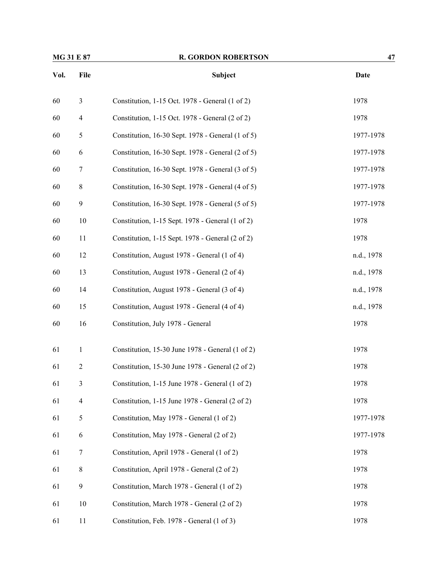| MG 31 E 87 |                  | <b>R. GORDON ROBERTSON</b>                        | 47          |  |
|------------|------------------|---------------------------------------------------|-------------|--|
| Vol.       | File             | Subject                                           | <b>Date</b> |  |
| 60         | $\mathfrak{Z}$   | Constitution, 1-15 Oct. 1978 - General (1 of 2)   | 1978        |  |
| 60         | $\overline{4}$   | Constitution, 1-15 Oct. 1978 - General (2 of 2)   | 1978        |  |
| 60         | 5                | Constitution, 16-30 Sept. 1978 - General (1 of 5) | 1977-1978   |  |
| 60         | 6                | Constitution, 16-30 Sept. 1978 - General (2 of 5) | 1977-1978   |  |
| 60         | 7                | Constitution, 16-30 Sept. 1978 - General (3 of 5) | 1977-1978   |  |
| 60         | 8                | Constitution, 16-30 Sept. 1978 - General (4 of 5) | 1977-1978   |  |
| 60         | $\boldsymbol{9}$ | Constitution, 16-30 Sept. 1978 - General (5 of 5) | 1977-1978   |  |
| 60         | 10               | Constitution, 1-15 Sept. 1978 - General (1 of 2)  | 1978        |  |
| 60         | 11               | Constitution, 1-15 Sept. 1978 - General (2 of 2)  | 1978        |  |
| 60         | 12               | Constitution, August 1978 - General (1 of 4)      | n.d., 1978  |  |
| 60         | 13               | Constitution, August 1978 - General (2 of 4)      | n.d., 1978  |  |
| 60         | 14               | Constitution, August 1978 - General (3 of 4)      | n.d., 1978  |  |
| 60         | 15               | Constitution, August 1978 - General (4 of 4)      | n.d., 1978  |  |
| 60         | 16               | Constitution, July 1978 - General                 | 1978        |  |
| 61         | $\mathbf{1}$     | Constitution, 15-30 June 1978 - General (1 of 2)  | 1978        |  |
| 61         | $\overline{c}$   | Constitution, 15-30 June 1978 - General (2 of 2)  | 1978        |  |
| 61         | 3                | Constitution, 1-15 June 1978 - General (1 of 2)   | 1978        |  |
| 61         | $\overline{4}$   | Constitution, 1-15 June 1978 - General (2 of 2)   | 1978        |  |
| 61         | $\mathfrak{S}$   | Constitution, May 1978 - General (1 of 2)         | 1977-1978   |  |
| 61         | 6                | Constitution, May 1978 - General (2 of 2)         | 1977-1978   |  |
| 61         | 7                | Constitution, April 1978 - General (1 of 2)       | 1978        |  |
| 61         | $\,8\,$          | Constitution, April 1978 - General (2 of 2)       | 1978        |  |
| 61         | $\boldsymbol{9}$ | Constitution, March 1978 - General (1 of 2)       | 1978        |  |
| 61         | $10\,$           | Constitution, March 1978 - General (2 of 2)       | 1978        |  |
| 61         | 11               | Constitution, Feb. 1978 - General (1 of 3)        | 1978        |  |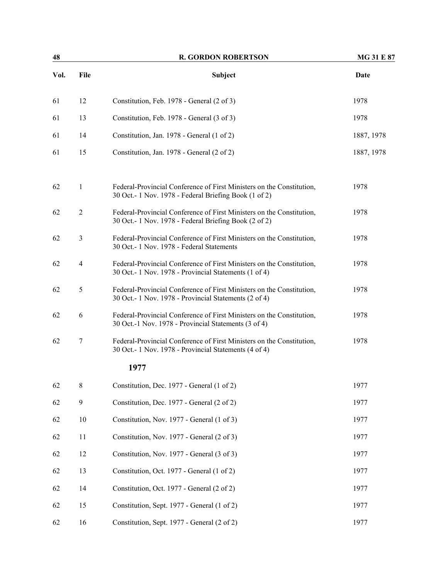| 48   |                | <b>R. GORDON ROBERTSON</b>                                                                                                      | <b>MG 31 E 87</b> |  |
|------|----------------|---------------------------------------------------------------------------------------------------------------------------------|-------------------|--|
| Vol. | File           | Subject                                                                                                                         | Date              |  |
| 61   | 12             | Constitution, Feb. 1978 - General (2 of 3)                                                                                      | 1978              |  |
| 61   | 13             | Constitution, Feb. 1978 - General (3 of 3)                                                                                      | 1978              |  |
| 61   | 14             | Constitution, Jan. 1978 - General (1 of 2)                                                                                      | 1887, 1978        |  |
| 61   | 15             | Constitution, Jan. 1978 - General (2 of 2)                                                                                      | 1887, 1978        |  |
| 62   | $\mathbf{1}$   | Federal-Provincial Conference of First Ministers on the Constitution,<br>30 Oct. - 1 Nov. 1978 - Federal Briefing Book (1 of 2) | 1978              |  |
| 62   | $\overline{2}$ | Federal-Provincial Conference of First Ministers on the Constitution,<br>30 Oct. - 1 Nov. 1978 - Federal Briefing Book (2 of 2) | 1978              |  |
| 62   | 3              | Federal-Provincial Conference of First Ministers on the Constitution,<br>30 Oct.- 1 Nov. 1978 - Federal Statements              | 1978              |  |
| 62   | 4              | Federal-Provincial Conference of First Ministers on the Constitution,<br>30 Oct. - 1 Nov. 1978 - Provincial Statements (1 of 4) | 1978              |  |
| 62   | 5              | Federal-Provincial Conference of First Ministers on the Constitution,<br>30 Oct. - 1 Nov. 1978 - Provincial Statements (2 of 4) | 1978              |  |
| 62   | 6              | Federal-Provincial Conference of First Ministers on the Constitution,<br>30 Oct.-1 Nov. 1978 - Provincial Statements (3 of 4)   | 1978              |  |
| 62   | $\tau$         | Federal-Provincial Conference of First Ministers on the Constitution,<br>30 Oct. - 1 Nov. 1978 - Provincial Statements (4 of 4) | 1978              |  |
|      |                | 1977                                                                                                                            |                   |  |
| 62   | $\,8\,$        | Constitution, Dec. 1977 - General (1 of 2)                                                                                      | 1977              |  |
| 62   | $\mathbf{9}$   | Constitution, Dec. 1977 - General (2 of 2)                                                                                      | 1977              |  |
| 62   | 10             | Constitution, Nov. 1977 - General (1 of 3)                                                                                      | 1977              |  |
| 62   | 11             | Constitution, Nov. 1977 - General (2 of 3)                                                                                      | 1977              |  |
| 62   | 12             | Constitution, Nov. 1977 - General (3 of 3)                                                                                      | 1977              |  |
| 62   | 13             | Constitution, Oct. 1977 - General (1 of 2)                                                                                      | 1977              |  |
| 62   | 14             | Constitution, Oct. 1977 - General (2 of 2)                                                                                      | 1977              |  |
| 62   | 15             | Constitution, Sept. 1977 - General (1 of 2)                                                                                     | 1977              |  |
| 62   | 16             | Constitution, Sept. 1977 - General (2 of 2)                                                                                     | 1977              |  |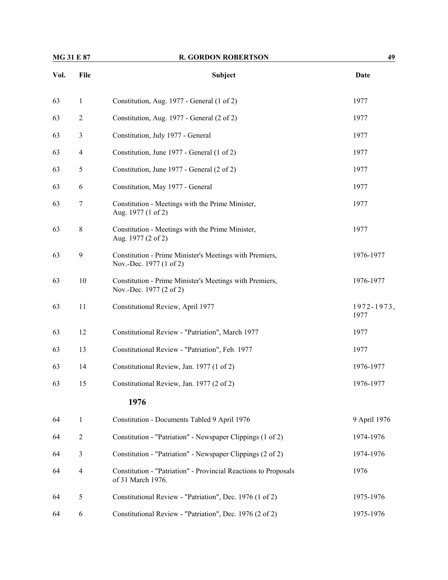| <b>MG 31 E 87</b> |                  | <b>R. GORDON ROBERTSON</b>                                                           | 49                 |
|-------------------|------------------|--------------------------------------------------------------------------------------|--------------------|
| Vol.              | File             | Subject                                                                              | Date               |
| 63                | $\mathbf{1}$     | Constitution, Aug. 1977 - General (1 of 2)                                           | 1977               |
| 63                | $\overline{2}$   | Constitution, Aug. 1977 - General (2 of 2)                                           | 1977               |
| 63                | 3                | Constitution, July 1977 - General                                                    | 1977               |
| 63                | $\overline{4}$   | Constitution, June 1977 - General (1 of 2)                                           | 1977               |
| 63                | 5                | Constitution, June 1977 - General (2 of 2)                                           | 1977               |
| 63                | 6                | Constitution, May 1977 - General                                                     | 1977               |
| 63                | $\boldsymbol{7}$ | Constitution - Meetings with the Prime Minister,<br>Aug. 1977 (1 of 2)               | 1977               |
| 63                | 8                | Constitution - Meetings with the Prime Minister,<br>Aug. 1977 (2 of 2)               | 1977               |
| 63                | 9                | Constitution - Prime Minister's Meetings with Premiers,<br>Nov.-Dec. 1977 (1 of 2)   | 1976-1977          |
| 63                | 10               | Constitution - Prime Minister's Meetings with Premiers,<br>Nov.-Dec. 1977 (2 of 2)   | 1976-1977          |
| 63                | 11               | Constitutional Review, April 1977                                                    | 1972-1973,<br>1977 |
| 63                | 12               | Constitutional Review - "Patriation", March 1977                                     | 1977               |
| 63                | 13               | Constitutional Review - "Patriation", Feb. 1977                                      | 1977               |
| 63                | 14               | Constitutional Review, Jan. 1977 (1 of 2)                                            | 1976-1977          |
| 63                | 15               | Constitutional Review, Jan. 1977 (2 of 2)                                            | 1976-1977          |
|                   |                  | 1976                                                                                 |                    |
| 64                | $\mathbf{1}$     | Constitution - Documents Tabled 9 April 1976                                         | 9 April 1976       |
| 64                | $\overline{2}$   | Constitution - "Patriation" - Newspaper Clippings (1 of 2)                           | 1974-1976          |
| 64                | $\mathfrak{Z}$   | Constitution - "Patriation" - Newspaper Clippings (2 of 2)                           | 1974-1976          |
| 64                | $\overline{4}$   | Constitution - "Patriation" - Provincial Reactions to Proposals<br>of 31 March 1976. | 1976               |
| 64                | 5                | Constitutional Review - "Patriation", Dec. 1976 (1 of 2)                             | 1975-1976          |
| 64                | 6                | Constitutional Review - "Patriation", Dec. 1976 (2 of 2)                             | 1975-1976          |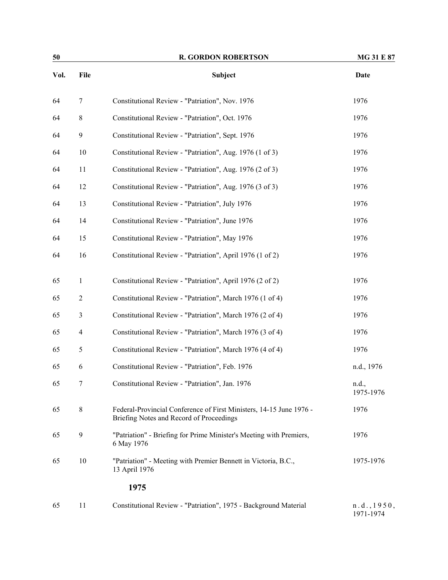| 50   |                | <b>R. GORDON ROBERTSON</b>                                                                                      | <b>MG 31 E 87</b>        |
|------|----------------|-----------------------------------------------------------------------------------------------------------------|--------------------------|
| Vol. | File           | Subject                                                                                                         | Date                     |
| 64   | 7              | Constitutional Review - "Patriation", Nov. 1976                                                                 | 1976                     |
| 64   | $\,$ 8 $\,$    | Constitutional Review - "Patriation", Oct. 1976                                                                 | 1976                     |
| 64   | $\mathbf{9}$   | Constitutional Review - "Patriation", Sept. 1976                                                                | 1976                     |
| 64   | 10             | Constitutional Review - "Patriation", Aug. 1976 (1 of 3)                                                        | 1976                     |
| 64   | 11             | Constitutional Review - "Patriation", Aug. 1976 (2 of 3)                                                        | 1976                     |
| 64   | 12             | Constitutional Review - "Patriation", Aug. 1976 (3 of 3)                                                        | 1976                     |
| 64   | 13             | Constitutional Review - "Patriation", July 1976                                                                 | 1976                     |
| 64   | 14             | Constitutional Review - "Patriation", June 1976                                                                 | 1976                     |
| 64   | 15             | Constitutional Review - "Patriation", May 1976                                                                  | 1976                     |
| 64   | 16             | Constitutional Review - "Patriation", April 1976 (1 of 2)                                                       | 1976                     |
| 65   | 1              | Constitutional Review - "Patriation", April 1976 (2 of 2)                                                       | 1976                     |
| 65   | $\overline{2}$ | Constitutional Review - "Patriation", March 1976 (1 of 4)                                                       | 1976                     |
| 65   | $\mathfrak{Z}$ | Constitutional Review - "Patriation", March 1976 (2 of 4)                                                       | 1976                     |
| 65   | $\overline{4}$ | Constitutional Review - "Patriation", March 1976 (3 of 4)                                                       | 1976                     |
| 65   | 5              | Constitutional Review - "Patriation", March 1976 (4 of 4)                                                       | 1976                     |
| 65   | 6              | Constitutional Review - "Patriation", Feb. 1976                                                                 | n.d., 1976               |
| 65   | 7              | Constitutional Review - "Patriation", Jan. 1976                                                                 | n.d.,<br>1975-1976       |
| 65   | $\,8\,$        | Federal-Provincial Conference of First Ministers, 14-15 June 1976 -<br>Briefing Notes and Record of Proceedings | 1976                     |
| 65   | 9              | "Patriation" - Briefing for Prime Minister's Meeting with Premiers,<br>6 May 1976                               | 1976                     |
| 65   | 10             | "Patriation" - Meeting with Premier Bennett in Victoria, B.C.,<br>13 April 1976                                 | 1975-1976                |
|      |                | 1975                                                                                                            |                          |
| 65   | 11             | Constitutional Review - "Patriation", 1975 - Background Material                                                | n.d., 1950,<br>1971-1974 |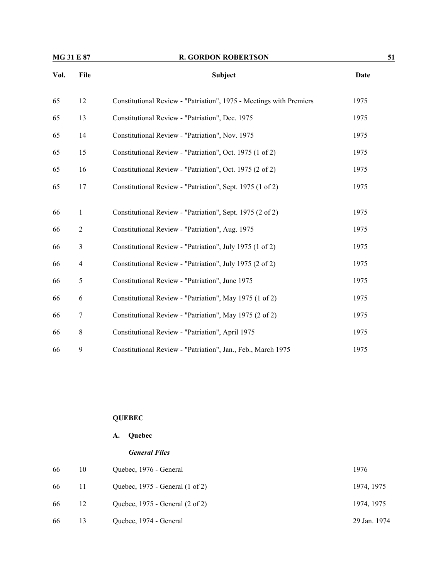| MG 31 E 87 |                | <b>R. GORDON ROBERTSON</b>                                          | 51          |  |
|------------|----------------|---------------------------------------------------------------------|-------------|--|
| Vol.       | File           | Subject                                                             | <b>Date</b> |  |
| 65         | 12             | Constitutional Review - "Patriation", 1975 - Meetings with Premiers | 1975        |  |
| 65         | 13             | Constitutional Review - "Patriation", Dec. 1975                     | 1975        |  |
| 65         | 14             | Constitutional Review - "Patriation", Nov. 1975                     | 1975        |  |
| 65         | 15             | Constitutional Review - "Patriation", Oct. 1975 (1 of 2)            | 1975        |  |
| 65         | 16             | Constitutional Review - "Patriation", Oct. 1975 (2 of 2)            | 1975        |  |
| 65         | 17             | Constitutional Review - "Patriation", Sept. 1975 (1 of 2)           | 1975        |  |
| 66         | $\mathbf{1}$   | Constitutional Review - "Patriation", Sept. 1975 (2 of 2)           | 1975        |  |
| 66         | $\sqrt{2}$     | Constitutional Review - "Patriation", Aug. 1975                     | 1975        |  |
| 66         | $\mathfrak{Z}$ | Constitutional Review - "Patriation", July 1975 (1 of 2)            | 1975        |  |
| 66         | 4              | Constitutional Review - "Patriation", July 1975 (2 of 2)            | 1975        |  |
| 66         | 5              | Constitutional Review - "Patriation", June 1975                     | 1975        |  |
| 66         | 6              | Constitutional Review - "Patriation", May 1975 (1 of 2)             | 1975        |  |
| 66         | 7              | Constitutional Review - "Patriation", May 1975 (2 of 2)             | 1975        |  |
| 66         | 8              | Constitutional Review - "Patriation", April 1975                    | 1975        |  |
| 66         | 9              | Constitutional Review - "Patriation", Jan., Feb., March 1975        | 1975        |  |

# **QUEBEC**

# **A. Quebec**

#### *General Files*

| 66 | 10 | Quebec, 1976 - General          | 1976         |
|----|----|---------------------------------|--------------|
| 66 | 11 | Quebec, 1975 - General (1 of 2) | 1974, 1975   |
| 66 | 12 | Quebec, 1975 - General (2 of 2) | 1974, 1975   |
| 66 | 13 | Quebec, 1974 - General          | 29 Jan. 1974 |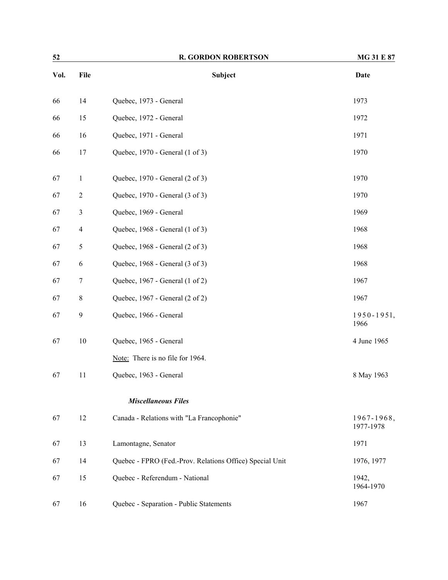| 52   |                | <b>R. GORDON ROBERTSON</b>                               | <b>MG 31 E 87</b>       |  |
|------|----------------|----------------------------------------------------------|-------------------------|--|
| Vol. | File           | <b>Subject</b>                                           | Date                    |  |
| 66   | 14             | Quebec, 1973 - General                                   | 1973                    |  |
| 66   | 15             | Quebec, 1972 - General                                   | 1972                    |  |
| 66   | 16             | Quebec, 1971 - General                                   | 1971                    |  |
| 66   | 17             | Quebec, 1970 - General (1 of 3)                          | 1970                    |  |
| 67   | $\mathbf{1}$   | Quebec, 1970 - General (2 of 3)                          | 1970                    |  |
| 67   | $\sqrt{2}$     | Quebec, 1970 - General (3 of 3)                          | 1970                    |  |
| 67   | $\mathfrak{Z}$ | Quebec, 1969 - General                                   | 1969                    |  |
| 67   | $\overline{4}$ | Quebec, 1968 - General (1 of 3)                          | 1968                    |  |
| 67   | 5              | Quebec, 1968 - General (2 of 3)                          | 1968                    |  |
| 67   | 6              | Quebec, 1968 - General (3 of 3)                          | 1968                    |  |
| 67   | 7              | Quebec, 1967 - General (1 of 2)                          | 1967                    |  |
| 67   | 8              | Quebec, 1967 - General (2 of 2)                          | 1967                    |  |
| 67   | 9              | Quebec, 1966 - General                                   | $1950 - 1951,$<br>1966  |  |
| 67   | $10\,$         | Quebec, 1965 - General                                   | 4 June 1965             |  |
|      |                | Note: There is no file for 1964.                         |                         |  |
| 67   | 11             | Quebec, 1963 - General                                   | 8 May 1963              |  |
|      |                | <b>Miscellaneous Files</b>                               |                         |  |
| 67   | 12             | Canada - Relations with "La Francophonie"                | 1967-1968,<br>1977-1978 |  |
| 67   | 13             | Lamontagne, Senator                                      | 1971                    |  |
| 67   | 14             | Quebec - FPRO (Fed.-Prov. Relations Office) Special Unit | 1976, 1977              |  |
| 67   | 15             | Quebec - Referendum - National                           | 1942,<br>1964-1970      |  |
| 67   | 16             | Quebec - Separation - Public Statements                  | 1967                    |  |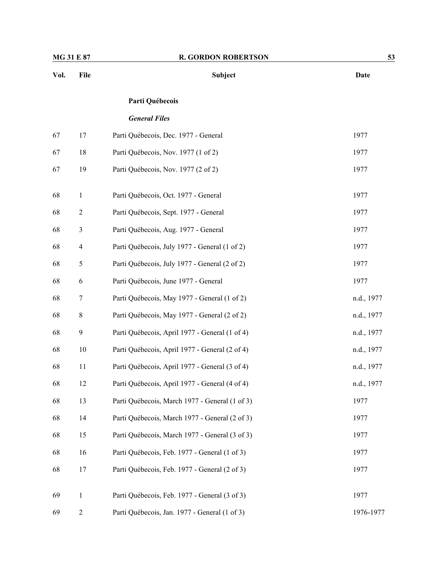| Vol. | File             | Subject                                        | <b>Date</b> |
|------|------------------|------------------------------------------------|-------------|
|      |                  | Parti Québecois                                |             |
|      |                  | <b>General Files</b>                           |             |
| 67   | 17               | Parti Québecois, Dec. 1977 - General           | 1977        |
| 67   | 18               | Parti Québecois, Nov. 1977 (1 of 2)            | 1977        |
| 67   | 19               | Parti Québecois, Nov. 1977 (2 of 2)            | 1977        |
| 68   | $\mathbf{1}$     | Parti Québecois, Oct. 1977 - General           | 1977        |
| 68   | $\overline{c}$   | Parti Québecois, Sept. 1977 - General          | 1977        |
| 68   | 3                | Parti Québecois, Aug. 1977 - General           | 1977        |
| 68   | $\overline{4}$   | Parti Québecois, July 1977 - General (1 of 2)  | 1977        |
| 68   | $\mathfrak s$    | Parti Québecois, July 1977 - General (2 of 2)  | 1977        |
| 68   | 6                | Parti Québecois, June 1977 - General           | 1977        |
| 68   | 7                | Parti Québecois, May 1977 - General (1 of 2)   | n.d., 1977  |
| 68   | $\,8\,$          | Parti Québecois, May 1977 - General (2 of 2)   | n.d., 1977  |
| 68   | 9                | Parti Québecois, April 1977 - General (1 of 4) | n.d., 1977  |
| 68   | 10               | Parti Québecois, April 1977 - General (2 of 4) | n.d., 1977  |
| 68   | 11               | Parti Québecois, April 1977 - General (3 of 4) | n.d., 1977  |
| 68   | 12               | Parti Québecois, April 1977 - General (4 of 4) | n.d., 1977  |
| 68   | 13               | Parti Québecois, March 1977 - General (1 of 3) | 1977        |
| 68   | 14               | Parti Québecois, March 1977 - General (2 of 3) | 1977        |
| 68   | 15               | Parti Québecois, March 1977 - General (3 of 3) | 1977        |
| 68   | 16               | Parti Québecois, Feb. 1977 - General (1 of 3)  | 1977        |
| 68   | 17               | Parti Québecois, Feb. 1977 - General (2 of 3)  | 1977        |
| 69   | $\mathbf{1}$     | Parti Québecois, Feb. 1977 - General (3 of 3)  | 1977        |
| 69   | $\boldsymbol{2}$ | Parti Québecois, Jan. 1977 - General (1 of 3)  | 1976-1977   |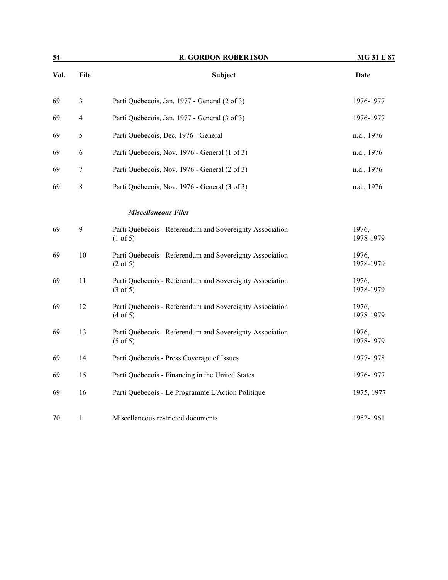| 54   |                | <b>R. GORDON ROBERTSON</b>                                                      | <b>MG 31 E 87</b>  |
|------|----------------|---------------------------------------------------------------------------------|--------------------|
| Vol. | File           | Subject                                                                         | <b>Date</b>        |
| 69   | $\mathfrak{Z}$ | Parti Québecois, Jan. 1977 - General (2 of 3)                                   | 1976-1977          |
| 69   | $\overline{4}$ | Parti Québecois, Jan. 1977 - General (3 of 3)                                   | 1976-1977          |
| 69   | 5              | Parti Québecois, Dec. 1976 - General                                            | n.d., 1976         |
| 69   | 6              | Parti Québecois, Nov. 1976 - General (1 of 3)                                   | n.d., 1976         |
| 69   | 7              | Parti Québecois, Nov. 1976 - General (2 of 3)                                   | n.d., 1976         |
| 69   | $\,$ $\,$      | Parti Québecois, Nov. 1976 - General (3 of 3)                                   | n.d., 1976         |
|      |                | <b>Miscellaneous Files</b>                                                      |                    |
| 69   | 9              | Parti Québecois - Referendum and Sovereignty Association<br>$(1 \text{ of } 5)$ | 1976,<br>1978-1979 |
| 69   | 10             | Parti Québecois - Referendum and Sovereignty Association<br>$(2 \text{ of } 5)$ | 1976,<br>1978-1979 |
| 69   | 11             | Parti Québecois - Referendum and Sovereignty Association<br>(3 of 5)            | 1976,<br>1978-1979 |
| 69   | 12             | Parti Québecois - Referendum and Sovereignty Association<br>(4 of 5)            | 1976,<br>1978-1979 |
| 69   | 13             | Parti Québecois - Referendum and Sovereignty Association<br>$(5 \text{ of } 5)$ | 1976,<br>1978-1979 |
| 69   | 14             | Parti Québecois - Press Coverage of Issues                                      | 1977-1978          |
| 69   | 15             | Parti Québecois - Financing in the United States                                | 1976-1977          |
| 69   | 16             | Parti Québecois - Le Programme L'Action Politique                               | 1975, 1977         |
| 70   | $\mathbf{1}$   | Miscellaneous restricted documents                                              | 1952-1961          |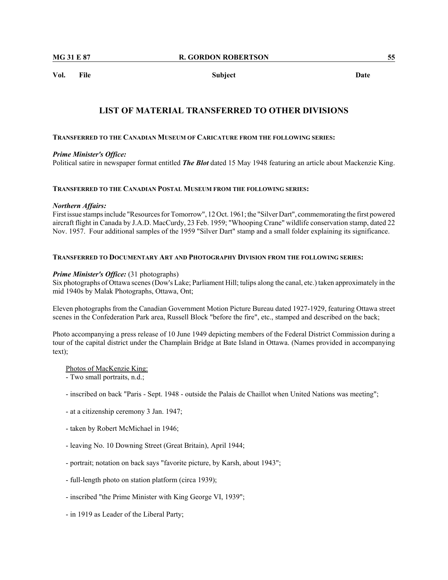**Vol. File Subject Date**

#### **LIST OF MATERIAL TRANSFERRED TO OTHER DIVISIONS**

#### **TRANSFERRED TO THE CANADIAN MUSEUM OF CARICATURE FROM THE FOLLOWING SERIES:**

#### *Prime Minister's Office:*

Political satire in newspaper format entitled *The Blot* dated 15 May 1948 featuring an article about Mackenzie King.

#### **TRANSFERRED TO THE CANADIAN POSTAL MUSEUM FROM THE FOLLOWING SERIES:**

#### *Northern Affairs:*

First issue stamps include "Resources for Tomorrow", 12 Oct. 1961; the "Silver Dart", commemorating the first powered aircraft flight in Canada by J.A.D. MacCurdy, 23 Feb. 1959; "Whooping Crane" wildlife conservation stamp, dated 22 Nov. 1957. Four additional samples of the 1959 "Silver Dart" stamp and a small folder explaining its significance.

#### **TRANSFERRED TO DOCUMENTARY ART AND PHOTOGRAPHY DIVISION FROM THE FOLLOWING SERIES:**

#### *Prime Minister's Office:* (31 photographs)

Six photographs of Ottawa scenes (Dow's Lake; Parliament Hill; tulips along the canal, etc.) taken approximately in the mid 1940s by Malak Photographs, Ottawa, Ont;

Eleven photographs from the Canadian Government Motion Picture Bureau dated 1927-1929, featuring Ottawa street scenes in the Confederation Park area, Russell Block "before the fire", etc., stamped and described on the back;

Photo accompanying a press release of 10 June 1949 depicting members of the Federal District Commission during a tour of the capital district under the Champlain Bridge at Bate Island in Ottawa. (Names provided in accompanying text);

#### Photos of MacKenzie King:

- Two small portraits, n.d.;

- inscribed on back "Paris Sept. 1948 outside the Palais de Chaillot when United Nations was meeting";
- at a citizenship ceremony 3 Jan. 1947;
- taken by Robert McMichael in 1946;
- leaving No. 10 Downing Street (Great Britain), April 1944;
- portrait; notation on back says "favorite picture, by Karsh, about 1943";
- full-length photo on station platform (circa 1939);
- inscribed "the Prime Minister with King George VI, 1939";
- in 1919 as Leader of the Liberal Party;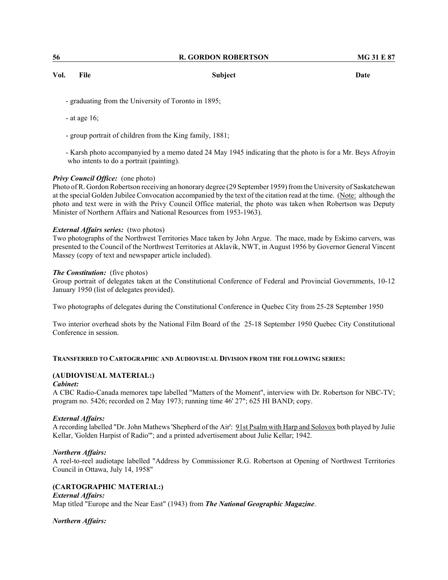| 56 | <b>R. GORDON ROBERTSON</b> | <b>MG 31 E 87</b> |
|----|----------------------------|-------------------|
|----|----------------------------|-------------------|

**Vol. File Subject Date**

- graduating from the University of Toronto in 1895;

- at age 16;
- group portrait of children from the King family, 1881;
- Karsh photo accompanyied by a memo dated 24 May 1945 indicating that the photo is for a Mr. Beys Afroyin who intents to do a portrait (painting).

#### *Privy Council Office:* (one photo)

Photo of R. Gordon Robertson receiving an honorary degree (29 September 1959) from the University of Saskatchewan at the special Golden Jubilee Convocation accompanied by the text of the citation read at the time. (Note: although the photo and text were in with the Privy Council Office material, the photo was taken when Robertson was Deputy Minister of Northern Affairs and National Resources from 1953-1963).

#### *External Affairs series:* (two photos)

Two photographs of the Northwest Territories Mace taken by John Argue. The mace, made by Eskimo carvers, was presented to the Council of the Northwest Territories at Aklavik, NWT, in August 1956 by Governor General Vincent Massey (copy of text and newspaper article included).

#### *The Constitution:* (five photos)

Group portrait of delegates taken at the Constitutional Conference of Federal and Provincial Governments, 10-12 January 1950 (list of delegates provided).

Two photographs of delegates during the Constitutional Conference in Quebec City from 25-28 September 1950

Two interior overhead shots by the National Film Board of the 25-18 September 1950 Quebec City Constitutional Conference in session.

#### **TRANSFERRED TO CARTOGRAPHIC AND AUDIOVISUAL DIVISION FROM THE FOLLOWING SERIES:**

#### **(AUDIOVISUAL MATERIAL:)**

#### *Cabinet:*

A CBC Radio-Canada memorex tape labelled "Matters of the Moment", interview with Dr. Robertson for NBC-TV; program no. 5426; recorded on 2 May 1973; running time 46' 27"; 625 HI BAND; copy.

#### *External Affairs:*

A recording labelled "Dr. John Mathews 'Shepherd of the Air': 91st Psalm with Harp and Solovox both played by Julie Kellar, 'Golden Harpist of Radio'"; and a printed advertisement about Julie Kellar; 1942.

#### *Northern Affairs:*

A reel-to-reel audiotape labelled "Address by Commissioner R.G. Robertson at Opening of Northwest Territories Council in Ottawa, July 14, 1958"

#### **(CARTOGRAPHIC MATERIAL:)**

*External Affairs:* Map titled "Europe and the Near East" (1943) from *The National Geographic Magazine*.

#### *Northern Affairs:*